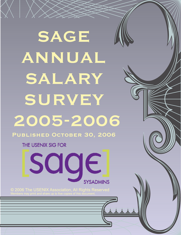# SAGE ANNUAL SALARY SURVEY 2005-2006 PUBLISHED OCTOBER 30, 2006

THE USENIX SIG FOR

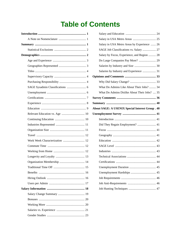# **Table of Contents**

| Work Week Characterization  12 |
|--------------------------------|
|                                |
|                                |
|                                |
|                                |
|                                |
|                                |
|                                |
|                                |
|                                |
|                                |
|                                |
|                                |
|                                |
|                                |

| Salary in USA Metro Areas by Experience  26            |
|--------------------------------------------------------|
| SAGE Job Classifications vs. Salary  27                |
| Salary by Focus, Experience, and Region  28            |
|                                                        |
|                                                        |
| Salaries by Industry and Experience  31                |
|                                                        |
|                                                        |
| What Do Admins Like About Their Jobs?  34              |
| What Do Admins Dislike About Their Jobs?  35           |
|                                                        |
|                                                        |
| <b>About SAGE: A USENIX Special Interest Group. 40</b> |
|                                                        |
|                                                        |
|                                                        |
| Did They Regain Employment?  41                        |
|                                                        |
|                                                        |
|                                                        |
|                                                        |
|                                                        |
|                                                        |
|                                                        |
|                                                        |
|                                                        |
|                                                        |
|                                                        |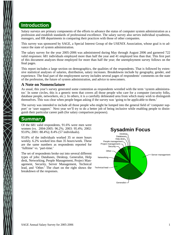# **Introduction**

Salary surveys are primary components of the efforts to advance the status of computer system administration as a profession and establish standards of professional excellence. The salary survey also serves individual sysadmins, managers, and HR departments in comparing their practices with those of other companies.

This survey was sponsored by SAGE, a Special Interest Group of the USENIX Association, whose goal is to advance the state of system administration.

The salary survey for the year 2005-2006 was administered during May through August 2006 and garnered 722 valid responses: 681 individuals employed more than half the year and 41 employed less than that. This first part of this document analyzes those employed for more than half the year; the unemployment survey follows on the final pages.

This report includes a large section on demographics, the qualities of the respondents. That is followed by extensive statistical analyses of salaries, distribution, salary increases. Breakdowns include by geography, gender, and experience. The final part of the employment survey includes several pages of respondents' comments on the state of the profession, the future of system administration, and advice to newcomers.

#### **A Note on Nomenclature**

As usual, this year's survey generated some contention as respondents wrestled with the term 'system administrator.' In some circles, this is a generic term that covers all those people who care for a computer (security folks, database people, networkers, etc.). In others, it is a carefully delineated area from which many wish to distinguish themselves. This was clear when people began asking if the survey was 'going to be applicable to them.'

The survey was intended to include all those people who might be lumped into the general field of 'computer support' or 'user support.' Next year we'll try to do a better job of being inclusive while enabling people to distinguish their particular career path (for salary comparison purposes).

## **Summary**

Of the 681 valid respondents, 91.6% were men were women (vs. 2004-2005: 96.2%; 2003: 95.4%; 2002: 93.0%; 2001: 88.4%); 8.4% (57 individuals).

93.8% of the individuals worked 35 or more hours weekly. 6.2% worked less than 35 hours/week. These are the same numbers as respondents reported for 'fulltime' vs. 'part-time.'

The set of respondents broke out into several different types of jobs: Databases, Desktop, Generalist, Help desk, Networking, People Management, Project Management, Security, Server Management, Technical lead, and 'Other.' The chart on the right shows the breakdown of the responses.

#### **Sysadmin Focus** Server management Networking **Other Security** Project management People management Help desk Databases Desktop Technical lead Generalist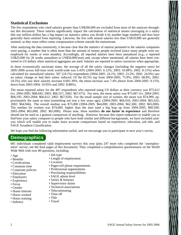#### **Statistical Exclusions**

The few respondents who cited salaries greater than US\$200,000 are excluded from most of the analyses throughout this document. These salaries significantly impact the calculation of statistical means (averaging in a salary like one million dollars has a big impact on statistics unless you divide it by another huge number) and thus have generally been omitted from reporting. Likewise, the few with annual salaries less than US\$10,000 are generally omitted, as they must reflect some compensation scheme outside the mainstream.

After analyzing the data extensively, it became clear that the statistics of interest pertained to the salaries companies were paying, a number that is often more than the amount of money people received (since many people were unemployed for weeks or even months). Accordingly, all reported salaries have been annualized (e.g., a reported US\$25,000 for 26 weeks annualizes to US\$50,000/year) and, except where mentioned, all salaries have been converted to US dollars when statistical aggregates are used. Salaries are reported in native currencies when appropriate.

In these economically uncertain times, the average of all the salary changes (including the negative ones) for 2005-2006 across full-time work world-wide was 5.43% (2004-2005: 6.12%; 2003: 10.68%; 2002: 8.15%) when calculated for annualized salaries. 507 (24.1%) respondents (2004-2005: 24.1%; 2003: 23.2%; 2002: 24.0%) saw no salary change or had their salary reduced. Of the 83.5% (up from 2004-2005: 75.9%; 2003: 68.8%; 2002: 54.5%) who saw their salaries increase 0.001-30%, the mean increase was 7.4% (down from 2004-2005: 9.15%; down from 2003-2004: 10.95% and 2002: 8.88%).

The mean reported salary for the 487 respondents who reported using US dollars as their currency was \$75,612 (vs. 2004-2005: \$68,045; 2003: \$66,557; 2002: \$67,675). For men, the mean salary was \$75,667 (vs. 2004-2005: \$68,195; 2003-2004: \$66,612; 2002: \$67,920). For the small sample size of women, the mean was \$74,999, approximately the same as men (something not true a few years ago). (2004-2005: \$64,016; 2003-2004: \$65,432; 2002: \$64,946). The overall median was \$73,000 (2004-2005: \$64,000; 2003-2004: \$62,500; 2002: \$65,000). The median for women was \$74,000, higher than the men (and a big leap up from 2004-2005: \$60,500; 2003-2004: \$65,000; 2002: \$63,000). Please note, these numbers **do not factor in experience** and therefore should not be used as a general comparison of anything. However, because this report endeavors to enable you to find how your salary compares to people who have both similar and different backgrounds, we have included analysis which will enable you to make more accurate comparisons based on experience, education, job title, and SAGE Sysadmin Classification.

We hope you find the following information useful, and we encourage you to participate in next year's survey.

## **Demographics**

681 individuals completed valid employment surveys this year (plus 247 more who completed the 'unemployment' survey; see the final pages of this document). They completed a comprehensive questionnaire on the World Wide Web with over 80 questions, including:

- Age
- Benefits
- Certifications
- Commute time
- Corporate policies
- Education
- Employers
- Experience
- Focus
- Gender
- Home Internet
- Hours worked
- Hours training
- Industry
- Job type
- Length of employment
- Location
- Pager/cell phone requirements
- Professional organizations
- Purchasing responsibilities
- SAGE admin level
- Salary & bonuses
- Supervisory duties
- Technical associations
- Telecommuting
- Time off
- Title
- Travel

 $\sum_{i=1}^{n}$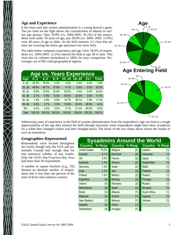#### **Age and Experience**

It has been said that system administration is a young person's game. The pie chart on the right shows the concentration of admins in various age groups. Only 30.8% (vs. 2004-2005: 45.2%) of the respondents were under 30 years of age; just 28.0% (vs. 2004- 2005: 15.0%) were 40 years of age or older. As the field matures, it's clear that admins are covering the entire age spectrum ever more fully.

The table below compares experience and age. Over 18.6% of respondents (vs. 2004-2005: 12.2%) entered the field at age 30 or later. This chart has its columns normalized to 100% for easy comparison. Percentages are of 681valid geographical regions.

|       |        |        |        | <b>Age vs. Years Experience</b> |        |        |        |
|-------|--------|--------|--------|---------------------------------|--------|--------|--------|
| Age   | 03     | 4.5    | 6.9    | 10.15                           | 16.20  | $21 +$ | Total  |
| 0.24  | 42.5%  | 19.5%  | 3.5%   | 0.0%                            | 0.0%   | 0.0%   | 7.9%   |
| 25.29 | 46.6%  | 45.1%  | 37.8%  | 4.1%                            | 0.0%   | 0.0%   | 22.9%  |
| 30.34 | 6.8%   | 15.9%  | 32.8%  | 35.5%                           | 0.0%   | 0.0%   | 23.6%  |
| 35.39 | 2.7%   | 8.5%   | 13.9%  | 30.0%                           | 22.9%  | 2.6%   | 17.5%  |
| 40.44 | 1.4%   | 4.9%   | 5.5%   | 14.7%                           | 35.7%  | 7.9%   | 11.2%  |
| 45.49 | 0.0%   | 3.7%   | 3.0%   | 10.6%                           | 20.0%  | 28.9%  | 8.4%   |
| $50+$ | 0.0%   | 2.4%   | 3.5%   | 5.1%                            | 21.4%  | 60.5%  | 8.5%   |
| Total | 100.0% | 100.0% | 100.0% | 100.0%                          | 100.0% | 100.0% | 100.0% |



Subtracting years of experience in the field of system administration from the respondent's age can lead to a rough approximation of the age they entered the field (though obviously some respondents might have been sysadmins for a while then changed careers and later changed back). The lower of the two charts above shows the results of such an estimation.

#### **Geographies Represented**

Respondents were located throughout the world, though only the USA and potentially Canada had enough data for true statistical validity of any results. Only the USA's San Francisco Bay Area had more than 50 respondents.

A number in square brackets (e.g., [3]) denotes an absolute number of respondents that is less than one percent of the total of those who named a country.

|                      | <b>Sysadmins Around the World</b> |                       |       |              |        |  |  |  |  |  |
|----------------------|-----------------------------------|-----------------------|-------|--------------|--------|--|--|--|--|--|
| <b>Country</b>       | % Resp                            | <b>Country % Resp</b> |       | Country      | % Resp |  |  |  |  |  |
| <b>United States</b> | 75.0%                             | Belgium               | $[2]$ | Iceland      | $[1]$  |  |  |  |  |  |
| Canada               | 8.1%                              | <b>Denmark</b>        | [2]   | Indonesia    | $[1]$  |  |  |  |  |  |
| <b>UK</b>            | 2.5%                              | France                | $[2]$ | Japan        | $[1]$  |  |  |  |  |  |
| Australia            | 1.5%                              | Greece                | $[2]$ | Kazakhstan   | $[1]$  |  |  |  |  |  |
| Germany              | 1.2%                              | Israel                | $[2]$ | Malta        | $[1]$  |  |  |  |  |  |
| India                | 1.2%                              | Italy                 | $[2]$ | Pakistan     | $[1]$  |  |  |  |  |  |
| Finland              | 1.0%                              | Mexico                | $[2]$ | Poland       | $[1]$  |  |  |  |  |  |
| Argentina            | $[4]$                             | Norway                | $[2]$ | Portugal     | $[1]$  |  |  |  |  |  |
| Ireland              | [4]                               | Romania               | $[2]$ | Russia       | $[1]$  |  |  |  |  |  |
| <b>Netherlands</b>   | $[4]$                             | Spain                 | [2]   | Slovakia     | $[1]$  |  |  |  |  |  |
| Brazil               | [3]                               | Albania               | $[1]$ | South Africa | $[1]$  |  |  |  |  |  |
| Malaysia             | [3]                               | Austria               | $[1]$ | Uganda       | $[1]$  |  |  |  |  |  |
| New Zealand          | [3]                               | <b>Belarus</b>        | $[1]$ | Ukraine      | $[1]$  |  |  |  |  |  |
| Sweden               | $[3]$                             | China                 | $[1]$ |              |        |  |  |  |  |  |
| Switzerland          | [3]                               | Hungary               | $[1]$ |              |        |  |  |  |  |  |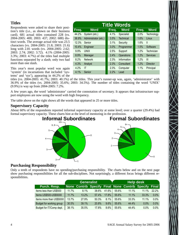#### **Titles**

Respondents were asked to share their position's title (i.e., as shown on their business card). 681 actual titles contained 228 (vs. 2004-2005: 400; 2003: 437; 2002: 688) distinct words. The average actual title was 23.5 characters (vs. 2004-2005: 21.8; 2003: 21.6) long with 2.81 words (vs. 2004-2005: 2.62; 2003: 2.74; 2002: 3.72). 4.1% (2004-2005: 3.3%; 2003: 4.7%) of the titles had multiple functions separated by a slash; only two had more than one slash.

|       | <b>Title Words</b>   |       |             |       |                 |  |  |  |  |  |
|-------|----------------------|-------|-------------|-------|-----------------|--|--|--|--|--|
| Freq. | <b>Word</b>          | Freq. | <b>Word</b> | Freq. | <b>Word</b>     |  |  |  |  |  |
| 44.2% | System (etc.)        | 4.1%  | Specialist  | 2.0%  | Technology      |  |  |  |  |  |
| 36.9% | Administrator (etc.) | 3.5%  | Technical   | 1.6%  | Linux           |  |  |  |  |  |
| 12.3% | Senior               | 3.1%  | Security    | 1.6%  | Ш               |  |  |  |  |  |
| 10.4% | Engineer             | 3.0%  | Programmer  | 1.5%  | Software        |  |  |  |  |  |
| 9.9%  | <b>UNIX</b>          | 2.5%  | Support     | 1.2%  | Technician      |  |  |  |  |  |
| 8.9%  | Manager              | 2.4%  | Operations  | 1.2%  | <b>Services</b> |  |  |  |  |  |
| 8.2%  | <b>Network</b>       | 2.3%  | Information | 1.2%  | Ш               |  |  |  |  |  |
| 4.3%  | Analyst              | 2.3%  | Consultant  | 1.2%  | <b>Director</b> |  |  |  |  |  |
| 4.2%  | ΙT                   | 2.3%  | Computer    | 1.1%  | Principal       |  |  |  |  |  |
| 4.1%  | Senior               | 2.2%  | Lead        |       |                 |  |  |  |  |  |

2

1

This year's most popular word was again 'system' (in incarnations that included 'systems' and 'sys'), appearing in 44.2% of the

titles (vs. 2004-2005: 41.7%; 2003: 40.1%) of the titles. This year's runner-up was, again, 'administrator' with 36.9% of the titles (vs. 2004-2005: 35.6%; 2003: 34.5%). The number of titles containing the word 'UNIX' (9.9%) is way up from 2004-2005: 7.2%.

A few years ago, the word 'administrator' carried the connotation of secretary. It appears that infrastructure support employees are now using the word with high frequency.

The table above on the right shows all the words that appeared in 25 or more titles.

#### **Supervisory Capacity**

About 60% of the respondents reported informal supervisory capacity at some level; over a quarter (29.4%) had formal supervisory capacity. These charts hint at the level of mentoring in the profession.



**Formal Subordinates** 3 4 5 6+

0

#### **Purchasing Responsibility**

Only a tenth of respondents have no spending/purchasing responsibility. The charts below and on the next page show purchasing responsibilities for all the sub-disciplines. Not surprisingly, a different focus brings different responsibilities.

|                          | <b>Generalist</b> |       |       | <b>Help desk</b> |       |       |                                                       |         |
|--------------------------|-------------------|-------|-------|------------------|-------|-------|-------------------------------------------------------|---------|
| Purch. Resp.             |                   |       |       |                  |       |       | None Contrib Specify Final None Contrib Specify Final |         |
| Items less than US\$500  | 11.7%             | 8.1%  | 38.6% | $41.6\%$         | 55.6% | 11.1% | 11.1%                                                 | 22.2%   |
| Items US\$500-US\$5000   | 11.7%             | 13.2% | 57.4% | $17.8\%$         | 55.6% | 11.1% | 33.3%                                                 | 0.0%    |
| Items more than US\$5000 | 13.7%             | 27.9% | 50.3% | 8.1%             | 55.6% | 33.3% | 11.1%                                                 | $0.0\%$ |
| Budget for working group | 30.5%             | 39.1% | 20.8% | 9.6%             | 55.6% | 44.4% | $0.0\%$                                               | 0.0%    |
| Budget for IT/Comp dept. | 38.1%             | 35.5% | 17.8% | $8.6\%$          | 55.6% | 44.4% | $0.0\%$                                               | $0.0\%$ |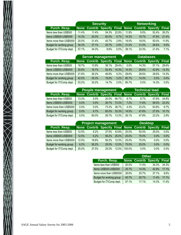|                          |       | <b>Security</b> |       |         | <b>Networking</b> |       |                                                       |       |
|--------------------------|-------|-----------------|-------|---------|-------------------|-------|-------------------------------------------------------|-------|
| Purch. Resp.             |       |                 |       |         |                   |       | None Contrib Specify Final None Contrib Specify Final |       |
| Items less than US\$500  | 11.4% | 11.4%           | 54.3% | 22.9%   | 11.9%             | 9.5%  | 52.4%                                                 | 26.2% |
| Items US\$500-US\$5000   | 14.3% | 20.0%           | 60.0% | 5.7%    | 14.3%             | 16.7% | 47.6%                                                 | 21.4% |
| Items more than US\$5000 | 20.0% | 31.4%           | 45.7% | 2.9%    | 19.0%             | 19.0% | 50.0%                                                 | 11.9% |
| Budget for working group | 34.3% | 37.1%           | 25.7% | $2.9\%$ | 31.0%             | 31.0% | 28.6%                                                 | 9.5%  |
| Budget for IT/Comp dept. | 57.1% | 34.3%           | 8.6%  | 0.0%    | 38.1%             | 33.3% | 21.4%                                                 | 7.1%  |

|                          |       | <b>Server management</b> |       |       |         | <b>Databases</b> |                                                       |         |  |
|--------------------------|-------|--------------------------|-------|-------|---------|------------------|-------------------------------------------------------|---------|--|
| Purch. Resp.             |       |                          |       |       |         |                  | None Contrib Specify Final None Contrib Specify Final |         |  |
| Items less than US\$500  | 18.7% | 13.9%                    | 38.1% | 29.4% | $0.0\%$ | 14.3%            | 57.1%                                                 | 28.6%   |  |
| Items US\$500-US\$5000   | 20.6% | 16.7%                    | 52.4% | 10.3% | 14.3%   | 28.6%            | 42.9%                                                 | 14.3%   |  |
| Items more than US\$5000 | 21.8% | 26.2%                    | 46.8% | 5.2%  | 28.6%   | 28.6%            | 28.6%                                                 | 14.3%   |  |
| Budget for working group | 42.5% | 35.3%                    | 19.0% | 3.2%  | 85.7%   | 14.3%            | $0.0\%$                                               | $0.0\%$ |  |
| Budget for IT/Comp dept. | 53.2% | 30.2%                    | 14.7% | 2.0%  | 85.7%   | 0.0%             | 14.3%                                                 | $0.0\%$ |  |

|                          |         | <b>People management</b> |          |       | <b>Technical lead</b> |         |                                                       |       |
|--------------------------|---------|--------------------------|----------|-------|-----------------------|---------|-------------------------------------------------------|-------|
| Purch. Resp.             |         |                          |          |       |                       |         | None Contrib Specify Final None Contrib Specify Final |       |
| Items less than US\$500  | 13.3%   | $0.0\%$                  | $20.0\%$ | 66.7% | 8.7%                  | $8.7\%$ | 47.8%                                                 | 34.8% |
| Items US\$500-US\$5000   | 0.0%    | 0.0%                     | 26.7%    | 73.3% | 7.2%                  | 11.6%   | 58.0%                                                 | 23.2% |
| Items more than US\$5000 | $0.0\%$ | $0.0\%$                  | 73.3%    | 26.7% | 4.3%                  | 23.2%   | 63.8%                                                 | 8.7%  |
| Budget for working group | 0.0%    | 6.7%                     | $60.0\%$ | 33.3% | 14.5%                 | 47.8%   | 27.5%                                                 | 10.1% |
| Budget for IT/Comp dept. | 0.0%    | 60.0%                    | 26.7%    | 13.3% | 26.1%                 | 47.8%   | 23.2%                                                 | 2.9%  |

|                          |       | <b>Project management</b> |       |          |        | <b>Desktop</b> |                                                 |              |  |
|--------------------------|-------|---------------------------|-------|----------|--------|----------------|-------------------------------------------------|--------------|--|
| Purch. Resp.             |       |                           |       |          |        |                | None Contrib Specify Final None Contrib Specify | <b>Final</b> |  |
| Items less than US\$500  | 12.5% | 6.2%                      | 37.5% | 43.8%    | 25.0%  | 50.0%          | 25.0%                                           | $0.0\%$      |  |
| Items US\$500-US\$5000   | 12.5% | 6.2%                      | 56.2% | $25.0\%$ | 25.0%  | 75.0%          | $0.0\%$                                         | $0.0\%$      |  |
| Items more than US\$5000 | 12.5% | 18.8%                     | 56.2% | 12.5%    | 25.0%  | 75.0%          | $0.0\%$                                         | $0.0\%$      |  |
| Budget for working group | 6.2%  | 56.2%                     | 25.0% | 12.5%    | 75.0%  | 25.0%          | $0.0\%$                                         | 0.0%         |  |
| Budget for IT/Comp dept. | 25.0% | 37.5%                     | 25.0% | 12.5%    | 100.0% | 0.0%           | 0.0%                                            | $0.0\%$      |  |

|  | Purch. Resp.             |       |       | <b>None Contrib Specify</b> | <b>Final</b> |
|--|--------------------------|-------|-------|-----------------------------|--------------|
|  | Items less than US\$500  | 20.0% | 11.4% | 34.3%                       | 34.3%        |
|  | Items US\$500-US\$5000   | 25.7% | 14.3% | 42.9%                       | 17.1%        |
|  | Items more than US\$5000 | 28.6% | 25.7% | 37.1%                       | 8.6%         |
|  | Budget for working group | 45.7% | 25.7% | 11.4%                       | 17.1%        |
|  | Budget for IT/Comp dept. | 57.1% | 17.1% | 14.3%                       | 11.4%        |

 $\bigtimes$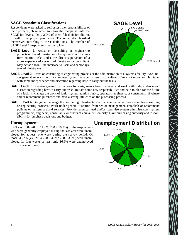#### **SAGE Sysadmin Classifications**

Respondents were asked to self-assess the responsibilities of their primary job in order to show the mappings with the SAGE job levels. Only 2.9% of them felt their job did not fit within the proper parameters. The remainder classified themselves according to these definitions. The number of SAGE Level 1 respondents was very low.

**SAGE Level 1:** Assist on consulting or engineering projects or the administration of a systems facility. Perform routine tasks under the direct supervision of a more experienced system administrator or consultant. May act as a front-line interface to users and senior system administrators.



- **SAGE Level 2**: Assist on consulting or engineering projects or the administration of a systems facility. Work under general supervision of a computer system manager or senior consultant. Carry out more complex tasks with some independence and discretion regarding how to carry out the tasks.
- **SAGE Level 3**: Receive general instructions for assignments from manager and work with independence and discretion regarding how to carry out tasks. Initiate some new responsibilities and help to plan for the future of a facility. Manage the work of junior system administrators, operators, engineers, or consultants. Evaluate and/or recommend purchases and have a strong influence on the purchasing process.
- **SAGE Level 4**: Design and manage the computing infrastructure or manage the larger, more complex consulting or engineering projects. Work under general direction from senior management. Establish or recommend policies on system use and services. Provide technical lead and/or supervise system administrators, system programmers, engineers, consultants, or others of equivalent seniority. Have purchasing authority and responsibility for purchase decisions and budget.

#### **Unemployment**

8.4% (vs. 2004-2005: 11.2%; 2003: 10.9%) of the respondents who were generally employed during the last year were unemployed for at least one week during the survey period. Of those, 45.2% (vs. 2004-2005: 4.5%; 2003: 3.3%) were unemployed for four weeks or less; only 16.6% were unemployed for 15 weeks or more.

# **Unemployment Distribution**

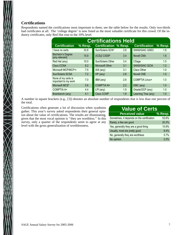#### **Certifications**

 $\bigtimes$ 

Respondents named the certifications most important to them; see the table below for the results. Only two-thirds had certificates at all. The 'college degree' is now listed as the most valuable certificate for this crowd. Of the industry certificates, only Red Hat rose to the 10% level.

| <b>Certifications Held</b>                  |           |                              |     |                       |           |  |  |  |
|---------------------------------------------|-----------|------------------------------|-----|-----------------------|-----------|--|--|--|
| <b>Certification</b>                        | $%$ Resp. | <b>Certification % Resp.</b> |     | <b>Certification</b>  | $%$ Resp. |  |  |  |
| I have no certs                             | 33.8      | Sun/Solaris SCN*             | 3.8 | SANS/GIAC GSEC        | 1.8       |  |  |  |
| <b>Bachelor's Degree</b><br>(any relevant)  | 15.9      | (ICS)2 CISSP                 | 3.4 | <b>Novell CNA</b>     | 1.6       |  |  |  |
| Red Hat (any)                               | 10.0      | Sun/Solaris Other            | 3.4 | CSage                 | 1.5       |  |  |  |
| Cisco CCNA                                  | 8.2       | Microsoft Other              | 3.1 | <b>SANS/GIAC GCIA</b> | 1.2       |  |  |  |
| Microsoft MCP/MCP+i                         | 7.5       | $AIX$ (any)                  | 3.1 | Cisco Other           | 1.0       |  |  |  |
| Sun/Solaris SCSA                            | 7.2       | $HP$ (any)                   | 2.8 | <b>Novell CNE</b>     | 1.0       |  |  |  |
| None of my certs is<br>important to my work | 7.0       | IBM (any)                    | 2.6 | <b>COMPTIA Linux+</b> | 1.0       |  |  |  |
| Microsoft MCS*                              | 5.6       | <b>COMPTIA N+</b>            | 2.2 | EMC (any)             | 1.0       |  |  |  |
| COMPTIA A+                                  | 4.4       | $LPI$ (any)                  | 1.9 | Oracle/OCP (any)      | 1.0       |  |  |  |
| Brainbench (any)                            | 4.1       | <b>Cisco CCNP</b>            | 1.8 | Learning Tree (any)   | 1.0       |  |  |  |

A number in square brackets (e.g., [3]) denotes an absolute number of respondents that is less than one percent of the total.

Certifications often generate a lot of discussion when syadmins gather. This year's survey asked respondents their general opinion about the value of certifications. The results are illuminating, given that the most vocal opinion is ''they are worthless.'' In this survey, only a quarter of the respondents seem to agree at any level with the gross generalization of worthlessness.

| <b>Value of Certs</b>                      |         |
|--------------------------------------------|---------|
| <b>Perceived value</b>                     | % Resp. |
| Sometimes, it depends on the certification | 52.6%   |
| Rarely, a few are good                     | 20.3%   |
| Yes, generally they are a good thing       | 10.9%   |
| Usually, most are pretty good              | 8.4%    |
| No, generally they are worthless           | 5.7%    |
| No opinion                                 | 2.2%    |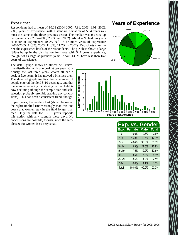#### **Experience**

Respondents had a mean of 10.08 (2004-2005: 7.91; 2003: 8.01; 2002: 7.83) years of experience, with a standard deviation of 5.84 years (almost the same as the three previous years). The median was 9 years, up two years since 2004-2005, 2003, and 2002). About 48% had ten years or more of experience; 20.9% had 15 or more years of experience (2004-2005: 11.8%; 2003: 11.8%; 11.7% in 2002). Two charts summarize the experience levels of the respondents. The pie chart shows a large (38%) hump in the distribution for those with 5..9 years experience, though not as large as previous years. About 13.5% have less than five years of experience.

The detail graph shows an almost bell curvelike distribution with one peak at ten years. Curiously, the last three years' charts all had a peak at five years. It has moved a bit since then. The detailed graph implies that a number of people entered the field 5-10 years ago, and that the number entering or staying in the field is now declining (though the sample size and selfselection probably prohibit drawing any conclusions). This has been a consistent trend, though.

In past years, the gender chart (shown below on the right) implied (more strongly than this one does) that women stay in the field longer than men. Only the data for 15..19 years supports this notion with any strength these days. No conclusions are possible, though, since the sample size for women is so very small.

## **Years of Experience**





|       | Exp. vs.      | <b>Gender</b> |              |
|-------|---------------|---------------|--------------|
| Exp.  | <b>Female</b> | <b>Male</b>   | <b>Total</b> |
| 0     | 0.0%          | 0.6%          | 0.6%         |
| 1.4   | 15.8%         | 12.7%         | 12.9%        |
| 5.9   | 40.4%         | 38.6%         | 38.8%        |
| 1014  | 19.3%         | 27.6%         | 26.9%        |
| 1519  | 17.5%         | 12.2%         | 12.6%        |
| 20.24 | 3.5%          | 5.3%          | 5.1%         |
| 2529  | 3.5%          | 1.9%          | 2.1%         |
| $30+$ | 0.0%          | 1.1%          | 1.0%         |
| Total | 100.0%        | 100.0%        | 100.0%       |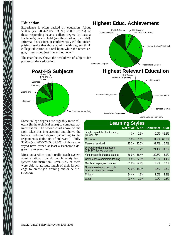#### **Education**

Experience is often backed by education. About 59.0% (vs. 2004-2005: 53.3%; 2003: 57.6%) of those responding have a college degree (at least a Bachelor's) in any field (see the chart on the right). Informal discussions at conferences yield the unsurprising results that those admins with degrees think college education is a real boon while the others argue, ''I get along just fine without one.''

The chart below shows the breakdown of subjects for post-secondary education.



Some college degrees are arguably more relevant (in the technical sense) to computer administration. The second chart above on the right takes this into account and shows the highest 'relevant' degree (according to the respondent's definition of 'relevant'). Fully 38.0% (vs. 2004-2005: 37.5%) of those surveyed have earned at least a Bachelor's degree in a relevant field.

Most universities don't really teach system administration. How do people *really* learn system administration? Over 85% of them were able to attribute much of their knowledge to on-the-job training and/or self-instruction.



Some College/Tech Sch.

|                                                             | <b>Learning Styles</b> |       |                           |       |
|-------------------------------------------------------------|------------------------|-------|---------------------------|-------|
|                                                             |                        |       | Not at all A bit Somewhat | A lot |
| Taught myself (textbooks, web,<br>practice, etc.)           | 1.3%                   | 2.5%  | 10.0%                     | 86.2% |
| On the job                                                  | 1.0%                   | 1.6%  | 11.9%                     | 85.5% |
| Mentor of any kind                                          | 25.3%                  | 25.3% | 32.7%                     | 16.7% |
| University/college education<br>(CS/IS/IT degree program)   | 39.6%                  | 28.2% | 21.1%                     | 11.0% |
| Vendor-specific training courses                            | 36.9%                  | 36.4% | 20.6%                     | 6.2%  |
| Conferences/commercial training                             | 35.5%                  | 37.9% | 22.2%                     | 4.4%  |
| Certification program courses                               | 51.2%                  | 27.9% | 17.2%                     | 3.7%  |
| Non-degree tech school, col-<br>lege, or university courses | 73.9%                  | 15.1% | 8.5%                      | 2.5%  |
| Military                                                    | 94.4%                  | 1.6%  | 1.6%                      | 2.3%  |
| Other                                                       | 99.4%                  | 0.3%  | $0.0\%$                   | 0.3%  |

# **Highest Educ. Achievement**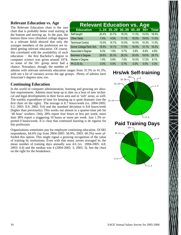#### **Relevant Education vs. Age**

The Relevant Education chart is the rare chart that is probably better read starting at the bottom and moving up. In the past, the bottom three rows (finished college degrees in a relevant field) showed that only the younger members of the profession are indeed getting relevant education. Of course, this correlated with the availability of such education − the first Bachelor's degree in computer science was given around 1974, so some of the 50+ group never had a chance. Nowadays, though, the number of

admins with relevant university education ranges from 31.5% to 41.3%,

with not a lot of variance across the age groups. Plenty of admins have Associate's degrees now, too.

#### **Continuing Education**

The weekly expenditure of time for keeping up is quite dramatic (see the  $_{10.14}$ In the world of computer administration, learning and growing are absolute requirements. Admins must keep up to date on a host of new technical and legal developments in their focus area and in 'soft' areas, as well. first chart on the right). The average is 8.7 hours/week (vs. 2004-2005: 9.2; 2003: 8.9; 2002: 9.0) and the standard deviation is 8.8 hours/week (higher than previously). This works out almost to a quarter-time job for '40 hour' workers. Only 28% report four hours or less per week; more than 38% report a staggering 10 hours or more per week. Just 1.3% reported 0 hours/week. It is clear that continued learning is de rigueur for this profession.

Organizations sometimes pay for employee continuing education. Of 681 respondents, 64.6% (up from 2004-2005: 58.9%; 2003: 60.3%) were afforded this option. This might signal a growing recognition of the value of training by institutions. Even with that many zeroes averaged in, the mean number of training days annually was 4.6 (vs. 2004-2005: 4.8; 2003: 4.4) and the median was 4 (2004-2005: 3; 2003: 3). See the chart on the right for the breakdown.

#### **Relevant Education vs. Age**<br>Education 1..24 25..29 30..39 40..49 50+ **Education 1..24 25..29 30..39 40..49 50+ Total** Self-taught 20.4% 23.7% 19.3% 11.3% 15.5% 18.5% Other fields 7.4% 4.5% 11.1% 16.5% 19.0% 11.0% Technical Cert(s) 13.0% 14.7% 10.0% 10.5% 10.3% 11.5% Some College/Tech Sch. 18.5% 14.1% 17.5% 16.5% 12.1% 16.2% Associate's Degree 9.3% 1.9% 5.7% 3.8% 6.9% 4.8% Bachelor's Degree 29.6% 35.3% 28.2% 30.8% 19.0% 29.7% Master's Degree 1.9% 5.8% 7.5% 10.5% 17.2% 8.1% Ph.D./D.Sc. 0.0% 0.0% 0.7% 0.0% 0.0% 0.3%

# **Hrs/wk Self-training**

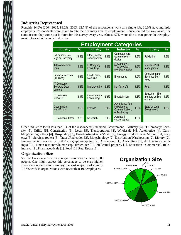#### **Industries Represented**

Roughly 84.0% (2004-2005: 83.2%; 2003: 82.7%) of the respondents work at a single job; 16.0% have multiple employers. Respondents were asked to cite their primary area of employment. Education led the way again; for some reason they come out in force for this survey every year. Almost 97% were able to categorize their employment into a set of canonic industries.

|                                          | <b>Employment Categories</b> |                                  |      |                                                                       |      |                                                 |      |
|------------------------------------------|------------------------------|----------------------------------|------|-----------------------------------------------------------------------|------|-------------------------------------------------|------|
| <b>Industry</b>                          | $\%$                         | <b>Industry</b>                  | %    | <b>Industry</b>                                                       | %    | <b>Industry</b>                                 | %    |
| Education - Col-<br>lege or University   | 19.4%                        | Other, please<br>specify briefly | 3.1% | Computer hard-<br>ware/semicon-<br>ductor                             | 1.9% | Publishing                                      | 1.6% |
| Telecommunica-<br>tions                  | 6.6%                         | IT Company:<br>Consulting        | 2.9% | IT Company:<br>Web develop-<br>ment/webmaster                         | 1.9% | Insurance/risk<br>management                    | 1.3% |
| <b>Financial services</b><br>(all kinds) | 6.3%                         | Health Care,<br>Medicine         | 2.8% | Engineering                                                           | 1.9% | Consulting and<br><b>Business Ser-</b><br>vices | 1.3% |
| IT Company:<br>Software Devel-<br>opment | 6.2%                         | Manufacturing                    | 2.8% | Not-for-profit                                                        | 1.8% | Retail                                          | 1.3% |
| IT Company:<br><b>ISP/ASP</b>            | 5.1%                         | Government -<br>Contracting      | 2.3% | Entertainment                                                         | 1.8% | Education - Ele-<br>mentary or Sec-<br>ondary   | 1.2% |
| Government -<br>Non-Military             | 3.5%                         | Defense                          | 2.1% | Advertising, Pub-<br>lic Relations.<br>Communication.<br>or Marketing | 1.6% | State or Local<br>Government                    | 1.2% |
| IT Company: Other                        | 3.2%                         | Research                         | 2.1% | Aeronauti-<br>cal/aerospace                                           | 1.6% |                                                 |      |

Other industries (with less than 1% of the respondents) included: Government − Military [6], IT Company: Security [6], Utility [5], Construction [5], Legal [5], Transportation [4], Wholesale [4], Automotive [4], Gambling/gaming/lottery [4], Hospitality [3], Broadcasting/Cable/Video [3], Energy Production or Mining (oil, coal, etc.) [3], Services (other) [3], Travel/Recreation [2], Biotechnology [2], Distribution/Warehousing [2], Library [2], Environmental Services [2], GIS/cartography/mapping [2], Accounting [1], Agriculture [1], Architecture (buildings) [1], Human resources/human capital/recruiter [1], Intellectual property [1], Education - Commercial, training, etc. [1], Pharmaceuticals [1], Food [1], Real Estate [1].

#### **Organization Size**

58.1% of respondents work in organizations with at least 1,000 people. One might expect this percentage to be even higher, since such organizations employ the vast majority of admins. 19.7% work in organizations with fewer than 100 employees.

#### **Organization Size** 50..99  $-20.49$  $-10.19$ 0..9 100..999 10000..49999 50000..99999  $100000+$ 5000..9999

 $-1000..4999$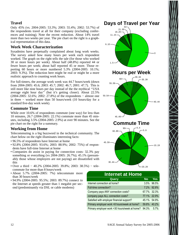#### **Travel**

Only 45% (vs. 2004-2005: 53.3%; 2003: 55.4%; 2002: 53.7%) of the respondents travel at all for their company (excluding conferences and training). Note the recent reduction. About 14% travel more than two weeks per year. The pie chart on the right is a graphical representation of this data.

#### **Work Week Characterization**

Sysadmins have perpetually complained about long work weeks. The survey asked how many hours per week each respondent worked. The graph on the right tells the tale (for those who worked 30 or more hours per week). About half (48.8%) reported 44 or fewer hours per week; about half reported 45 or more. Those reporting 60 hours or more numbered 5.3% (2004-2005: 10.1%; 2003: 9.3%). The reduction here might be real or might be a more realistic approach to counting work hours.

For full-timers, the average work week was 44.7 hours/week (down from 2004-2005: 45.6; 2003: 45.7; 2002: 46.7; 2001: 47.7). This is still more like nine hours per day instead of the the mythical ''USA average eight hour day" (but it's getting closer). About 22.5% (2004-2005: 32.6%; 2002: 27.8%) of the respondents − almost one in three − worked more than 50 hours/week (10 hours/day for a standard five-day work week).

#### **Commute Time**

While over 10.6% of respondents commute (one way) for less than 10 minutes, 26.7 (2004-2005: 22.1%) commute more than 45 minutes, including 3.5% (2004-2005: 2.9%) at over 90 minutes. See the pie chart on the right for a summary.

## **Working from Home**

Telecommuting is a big buzzword in the technical community. The chart below on the right illuminates interesting facts:

- 96.5% of respondents have Internet at home
- 92.8% (2004-2005: 93.6%; 2003: 88.9%; 2002: 75%) of respondents have full-time Internet at home
- Companies do assist in paying for connection costs: 32.3% pay something or everything (vs 2004-2005: 26.7%); 45.1% (presumably those whose employers are not paying) are dissatisfied with this
- Over a third 40.2% (2004-2005: 39.8%; 2003: 38.5%) telecommute for more than 8 hours/week
- About 5.7% (2004-2005: 7%) telecommute more than 30 hours/week
- 94.9% (2004-2005: 95.5%; 2003: 89.7%) connect to the Internet at speeds greater than 1 megabit per second (predominantly via DSL or cable modems)



#### **Internet at Home**

| Query                                                | No          | <b>Yes</b> |
|------------------------------------------------------|-------------|------------|
| Internet connection at home?                         |             | 3.5% 96.5% |
| Full-time connection?                                |             | 7.2% 92.8% |
| Company pays ANY connection costs?                   | 67.7% 32.3% |            |
| company pays ALL connection costs?                   | 77.1% 22.9% |            |
| Satisfied with employer financial support?           | 45.1% 54.9% |            |
| Primary employer work >8 hours/week at home?         | 59.8%       | 40.2%      |
| Primary employer work > 30 hours/week at home? 94.3% |             | 5.7%       |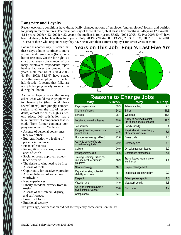#### **Longevity and Loyalty**

Recent economic conditions have dramatically changed notions of employer (and employee) loyalty and position longevity in many cultures. The mean job stay of those at their job at least a few months is 5.46 years (2004-2005: 4.14 years; 2003: 4.22; 2002: 4.32 years); the median is four years. 53.6% (2004-2005: 53.1%; 2003: 54%) have been at their job for less than four years. Only 28.1% (2004-2005: 13.7%; 2003: 15.7%; 2002: 15.1%; 2001: 18.4%) of those who responded say they have been with their current employer for seven years or more.

Looked at another way, it's clear that these days admins continue to move around to different jobs (for a number of reasons). On the far right is a chart that reveals the number of primary employers respondents report having had over the previous five years. Note that 48.0% (2004-2005: 41.4%; 2003: 38.6%) have stayed with the same employer for the full half-decade. It seems that folks are not job hopping nearly so much as during the 'boom.'

As far as loyalty goes, the survey asked what would make people wish to change jobs (they could check several items). Intriguingly, compensation is #1 on the list of respondents, almost twice as high as second place. Job satisfaction has a huge number of components that include (from former computer company executive Bill Wallace):

- A sense of personal power; mastery over others
- Ego-gratification − a feeling of price or importance
- Financial success
- Recognition of success; reassurance of worth
- Social or group approval; acceptance of peers
- The desire to win; need to be first
- A sense of roots
- Opportunity for creative expression
- Accomplishment of something
- worthwhile • New experiences
- Liberty, freedom, privacy from intrusion
- A sense of self-esteem, dignity, and self-respect
- Love in all forms
- Emotional security

Ten years ago, compensation did not so frequently come out #1 on the list.



| <b>Reasons to Change Jobs</b>                                             |           |                                                              |         |  |  |  |
|---------------------------------------------------------------------------|-----------|--------------------------------------------------------------|---------|--|--|--|
| <b>Why</b>                                                                | $%$ Resp. | <b>Why</b>                                                   | % Resp. |  |  |  |
| Pay/compensation                                                          | 59.3      | Telecommuting                                                | 12.0    |  |  |  |
| Challenge/interest                                                        | 34.2      | <b>Ethics</b>                                                | 11.3    |  |  |  |
| <b>Benefits</b>                                                           | 25.1      | Workload                                                     | 11.3    |  |  |  |
| Location/commuting issues                                                 | 25.0      | Ability to work with/contrib-<br>ute to open source projects | 11.0    |  |  |  |
| Job security                                                              | 24.1      | Family-friendly                                              | 8.1     |  |  |  |
| People (friendlier, more com-<br>petent, etc.)                            | 23.6      | Physical environment (e.g.,<br>offices vs. cubicles)         | 8.1     |  |  |  |
| Hours/schedules (good/bad)                                                | 22.6      | Dress code                                                   | 7.6     |  |  |  |
| Ability to advance/be pro-<br>moted more quickly                          | 22.2      | Company size                                                 | 7.6     |  |  |  |
| Culture                                                                   | 20.9      | On-call/pager/cell issues                                    | 6.9     |  |  |  |
| Management/vision                                                         | 18.6      | Conference attendance                                        | 5.1     |  |  |  |
| Training, learning, tuition re-<br>imbursement, certification<br>programs | 16.9      | Travel issues (want more or<br>want less)                    | 4.1     |  |  |  |
| New technology                                                            | 16.7      | Project management                                           | 3.5     |  |  |  |
| Reputation, size, potential,<br>stability, or mission                     | 15.1      | Intellectual property policy                                 | 2.2     |  |  |  |
| Respect                                                                   | 14.1      | Other (please specify)                                       | 1.5     |  |  |  |
| Vacation time                                                             | 14.0      | Visa/work permit                                             | 1.3     |  |  |  |
| Ability to work with/avoid a<br>given brand or vendor                     | 13.8      | Child care                                                   | 1.2     |  |  |  |
| Competence                                                                | 13.4      |                                                              |         |  |  |  |

#### SAGE Annual Salary Survey for 2005-2006 13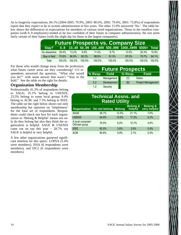As to longevity expectations, 84.1% (2004-2005: 79.9%; 2003: 80.6%, 2002: 79.4%; 2001: 75.8%) of respondents report that they expect to be in system administration in five years. The other 15.9% answered 'No.' The table below shows the differences in expectations for members of various sized organizations. Those in the smallest companies (with 0..9 employees) tended to be less confident of their future in computer administration; the rest seem fairly certain of their future (with the slight dip for those in the largest companies).

| <b>Future Prospects vs. Company Size</b> |        |          |         |          |         |                                                       |           |           |
|------------------------------------------|--------|----------|---------|----------|---------|-------------------------------------------------------|-----------|-----------|
|                                          |        |          |         |          |         | Stay? 09 1049 5099 100499 500999 10004999 5000+ Total |           |           |
| Go elsewhere                             | 29.4%  | $13.2\%$ | $9.8\%$ | $11.4\%$ | $8.7\%$ | $13.0\%$                                              | 20.3%     | 15.9%     |
| Stay in field                            | 70.6%  | 86.8%    | 90.2%   | 88.6%    | 91.3%   | 87.0%                                                 | 79.7%     | 84.1%     |
| Total                                    | 100.0% | 100.0%   | 100.0%  | 100.0%   | 100.0%  | 100.0%                                                | $100.0\%$ | $100.0\%$ |

For those who would change away from the profession, what future career areas are they considering? 113 respondents answered the question, ''What else would you do?'' with some answer that wasn't ''Stay in the field.'' See the table on the right for details.

#### **Organization Membership**

Professionally 41.3% of respondents belong to SAGE; 35.1% belong to USENIX; 23.5% belong to some local group; 9.4% belong to ACM; and 7.5% belong to IEEE. The table on the right below shows not only membership but opinions on 'helpfulness' for the total set of respondents. Respondents could check one box for each organization so 'Belong & Helpful' means not only do they belong but also they think the organization is helpful. SAGE & USENIX came out on top this year  $-28.7\%$  say SAGE is helpful or very helpful.

A few other organizations garnered significant mention for this query: LOPSA (5.4% were members), ISSA (6 respondents were members), and ISC2 (6 respondents were members).

| <b>Future Prospects</b> |              |         |                           |  |  |
|-------------------------|--------------|---------|---------------------------|--|--|
| % Resp.                 | <b>Field</b> | % Resp. | <b>Field</b>              |  |  |
| 3.3                     | Management   | [7]     | Retire                    |  |  |
| 22                      | Development  | [6]     | <b>Project Management</b> |  |  |
| 12                      | Security     |         |                           |  |  |

| <b>Technical Assns. and</b><br><b>Rated Utility</b>                                                                  |       |       |       |         |  |  |
|----------------------------------------------------------------------------------------------------------------------|-------|-------|-------|---------|--|--|
| <b>Belong &amp;</b><br><b>Belong &amp;</b><br>very helpful<br>helpful<br>Organization Do not belong<br><b>Belong</b> |       |       |       |         |  |  |
| <b>SAGE</b>                                                                                                          | 58.7% | 12.5% | 21.1% | 7.6%    |  |  |
| <b>USENIX</b>                                                                                                        | 64.9% | 12.6% | 17.2% | 5.3%    |  |  |
| A local computer/<br>OS/user group                                                                                   | 76.5% | 8.2%  | 10.7% | 4.6%    |  |  |
| <b>IEEE</b>                                                                                                          | 92.5% | 3.8%  | 2.8%  | 0.9%    |  |  |
| <b>ACM</b>                                                                                                           | 90.6% | 5.9%  | 3.1%  | $0.4\%$ |  |  |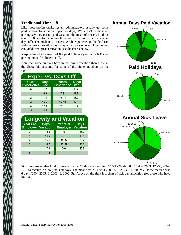#### **Traditional Time Off**

Like most professionals, system administrators usually get some paid vacation (in addition to paid holidays). While 3.2% of those reporting say they get no paid vacation, the mean of those who do is about 16.8 days (not counting those who report more than 30 annual days off). The median is 15 days. While experience in the field can yield increased vacation days, staying with a single employer longer can yield even greater vacation (see the charts below).

Respondents had a mean of 8.7 paid holidays/year, with 6.4% reporting no paid holidays at all.

Note that some cultures have much longer vacation than those in the USA; this accounts for some of the higher numbers on the right.

| <b>Exper. vs. Days Off</b>        |              |                                   |              |  |  |
|-----------------------------------|--------------|-----------------------------------|--------------|--|--|
| <b>Years</b><br><b>Experience</b> | Days<br>Vac. | <b>Years</b><br><b>Experience</b> | Days<br>Vac. |  |  |
|                                   | 11.2         | 6                                 | 16.7         |  |  |
|                                   | 16.6         | 7.9                               | 17.7         |  |  |
| $\mathfrak{p}$                    | 17.4         | 10.14                             | 18.2         |  |  |
| 3                                 | 15.6         | 15.19                             | 17.0         |  |  |
| Δ                                 | 17.6         | $20+$                             | 20.4         |  |  |
| 5                                 | 14.9         |                                   |              |  |  |

# **Longevity and Vacation**

| <b>Years at</b><br><b>Employer Vacation</b> | <b>Days</b> | <b>Years at</b><br><b>Employer Vacation</b> | <b>Days</b> |
|---------------------------------------------|-------------|---------------------------------------------|-------------|
| 0                                           | 15.8        | 6                                           | 18.2        |
|                                             | 14.5        | 7.9                                         | 19.5        |
| $\mathfrak{p}$                              | 15.5        | 10.14                                       | 20.2        |
| 3                                           | 16.7        | 15.19                                       | 22.3        |
| 4                                           | 17.9        | $20+$                                       | 20.8        |
| 5                                           | 17.5        |                                             |             |



Sick days are another kind of time off work. Of those responding, 14.5% (2004-2005: 16.4%; 2003: 12.7%; 2002: 12.1%) receive (or took) no sick days. The mean was 7.5 (2004-2005: 6.9; 2003: 7.4; 2002: 7.1); the median was 6 days (2004-2005: 6; 2003: 6; 2002: 5). Above on the right is a chart of sick day allocation (for those who have limits).

5..9.99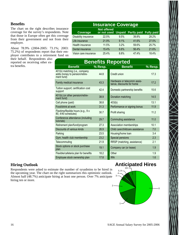#### **Benefits**

The chart on the right describes insurance coverage for the survey's respondents. Note that those in Europe often get this coverage from their government and not from their employer.

About 78.9% (2004-2005: 73.1%; 2003: 75.2%) of respondents report that their employer contributes to a retirement fund on

their behalf. Respondents also reported on receiving other extra benefits.

# **Insurance Coverage**

| <b>Coverage</b>       | <b>Not offered</b><br>or not used Unpaid Partly paid Fully paid |      |       |       |
|-----------------------|-----------------------------------------------------------------|------|-------|-------|
| Disability insurance  | 22.5%                                                           | 9.5% | 39.8% | 28.2% |
| Life insurance        | 21.9%                                                           | 9.1% | 41.6% | 27.5% |
| Health insurance      | 11.5%                                                           | 3.2% | 59.6% | 25.7% |
| Dental insurance      | 15.4%                                                           | 6.6% | 56.4% | 21.6% |
| Vision care insurance | 25.4%                                                           | 8.8% | 47.4% | 18.4% |

|                                                                               |         | <b>Benefits Reported</b>                                 |           |
|-------------------------------------------------------------------------------|---------|----------------------------------------------------------|-----------|
| <b>Benefit</b>                                                                | % Resp. | <b>Benefit</b>                                           | $%$ Resp. |
| 401(k) matching (i.e., company<br>adds money to pension/retire-<br>ment fund) | 44.8    | Credit union                                             | 17.3      |
| Family medical insurance                                                      | 43.3    | Hardware or telecomm assis-<br>tance, discounts for home | 17.2      |
| Tuition support; certification cost<br>support                                | 424     | Domestic partnership benefits                            | 15.6      |
| 401(k) (or other pension/retire-<br>ment fund)                                | 38.9    | Donation matching                                        | 14.5      |
| Cell phone (paid)                                                             | 38.8    | 403(b)                                                   | 13.1      |
| Food/drink at work                                                            | 31.3    | Performance or signing bonus                             | 11.9      |
| Flextime/flexible hours (e.g., 9 x<br>80, 4/40 schedules)                     | 30.7    | Profit sharing                                           | 11.2      |
| Conference attendance (including<br>tutorials)                                | 29.7    | Commuting assistance                                     | 11.0      |
| Retirement plan/fund/program                                                  | 27.3    | Association memberships                                  | 10.1      |
| Discounts of various kinds                                                    | 26.9    | Child care/childcare assistance                          | 7.0       |
| Parking                                                                       | 23.5    | Housing/home loan                                        | 3.4       |
| Gym, health club membership                                                   | 23.2    | Special pensions                                         | 2.3       |
| Telecommuting                                                                 | 21.9    | RRSP (matching, assistance)                              | 2.1       |
| Stock options or stock purchase<br>plan                                       | 19.1    | Company car (or lease)                                   | 1.9       |
| Flexible/cafeteria plan for benefits                                          | 18.2    | Other                                                    | 1.9       |
| Employee stock ownership plan                                                 | 17.8    | <b>IRA</b>                                               | 1.6       |
|                                                                               |         |                                                          |           |

#### **Hiring Outlook**

Respondents were asked to estimate the number of sysadmins to be hired in the upcoming year. The chart on the right summarizes this optimistic outlook. Almost half (48.7%) anticipate hiring at least one person. Over 7% anticipate hiring ten or more.

# **Anticipated Hires**

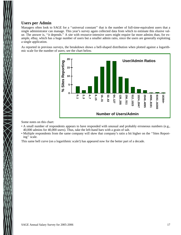#### **Users per Admin**

Managers often look to SAGE for a ''universal constant'' that is the number of full-time-equivalent users that a single administrator can manage. This year's survey again collected data from which to estimate this elusive value. The answer is, ''it depends.'' A site with resource-intensive users might require far more admins than, for example, eBay, which has a huge number of users but a smaller admin ratio, since the users are generally exploiting a single application.

As reported in previous surveys, the breakdown shows a bell-shaped distribution when plotted against a logarithmic scale for the number of users; see the chart below.



Some notes on this chart:

- A small number of respondents appears to have responded with unusual and probably erroneous numbers (e.g., 40,000 admins for 40,000 users). Thus, take the left-hand bars with a grain of salt.
- Multiple respondents from the same company will skew that company's ratio a bit higher on the ''Sites Reporting'' scale.

This same bell curve (on a logarithmic scale!) has appeared now for the better part of a decade.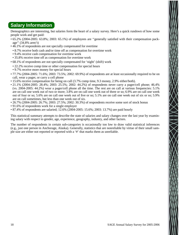# **Salary Information**

Demographics are interesting, but salaries form the heart of a salary survey. Here's a quick rundown of how some people work and get paid:

- 65.2% (2004-2005: 63.8%; 2003: 65.1%) of employees are ''generally satisfied with their compensation package'' (34.8% aren't)
- 46.1% of respondents are not specially compensated for overtime
- 8.7% receive both cash and/or time off as compensation for overtime work
- 9.4% receive cash compensation for overtime work
- 35.8% receive time off as compensation for overtime work
- 68.1% of respondents are not specially compensated for 'night' (shift) work
- 22.2% receive comp time or other compensation for special hours
- 9.7% receive more money for special hours
- 77.7% (2004-2005: 71.6%; 2003: 73.5%; 2002: 69.9%) of respondents are at least occasionally required to be on call, wear a pager, or carry a cell phone
- 15.6% receive compensation for being on call (3.7% comp time, 9.3 money, 2.9% either/both).
- 21.1% (2004-2005: 28.4%; 2003: 25.5%; 2002: 44.2%) of respondents never carry a pager/cell phone; 46.4% (vs. 2004-2005: 44.2%) wear a pager/cell phone all the time. The rest are on call at various frequencies: 5.1% are on call one week out of two or more; 3.8% are on call one week out of three or so; 6.9% are on call one week out of four or so; 5.6% are on call one week out of five or so; 5.1% are on call one week out of six or so; 5.9% are on call sometimes, but less than one week out of six.
- 26.7% (2004-2005: 26.7%; 2003: 27.5%; 2002: 30.3%) of respondents receive some sort of stock bonus
- 91.6% of respondents work for a single employer
- 87.4% of respondents are salaried; 12.6% (2004-2005: 15.6%; 2003: 13.7%) are paid hourly

This statistical summary attempts to describe the state of salaries and salary changes over the last year by examining salary with respect to gender, age, experience, geography, industry, and other factors.

The number of respondents in certain sub-categories is occasionally too low to draw valid statistical inferences (e.g., just one person in Anchorage, Alaska). Generally, statistics that are nonreliable by virtue of their small sample size are either not reported or reported with a '#' that marks them as unreliable.

 $\frac{1}{2}$   $\frac{1}{2}$   $\frac{1}{2}$   $\frac{1}{2}$   $\frac{1}{2}$   $\frac{1}{2}$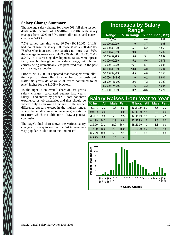#### **Salary Change Summary**

The average salary change for those 508 full-time respondents with incomes of US\$10K-US\$200K with salary changes from -30% to 30% (from all nations and currencies) was 5.43%.

7.5% earned less this year; 16.5% (2004-2005: 24.1%) had no change in salary. Of those 83.8% (2004-2005: 75.9%) who increased their salaries no more than 30%, the average increase was 7.44% (2004-2005: 9.2%; 2003: 8.2%). In a surprising development, raises were spread fairly evenly throughout the salary range, with higher earners being dramatically less penalized than in the past (with a single exception).

Prior to 2004-2005, it appeared that managers were allotting a pot of raise-dollars to a number of variously paid staff; this year's dollar-value of raises continued to be *much* higher for the \$100K+ brackets.

To the right is an overall chart of last year's salary changes, calculated against last year's salary – and shown by gender. It does not show experience or job categories and thus should be viewed only as an overall picture. Little gender difference appears except in the highest range, where the small number of women gives statistics from which it is difficult to draw a general conclusion.

The page's final chart shows the various salary changes. It's easy to see that the 2-4% range was very popular in addition to the ''no raise.''

#### **Increases by Salary Rang e Range % in Range % Incr Incr (US\$)** < 20,000 1.4 6.6 901 20,000-29,999 1.0 3.7 803 30,000-39,999 5.1 5.2 1,869 40,000-49,999 9.3 7.7 3,497 50,000-59,999 13.8 5.1 2,689 60,000-69,999 15.2 5.6 3,571 70,000-79,999 16.7 5.4 3,983 80,000-89,999 13.8 4.0 3,404 90,000-99,999 8.5 4.0 3,755 100,000-124,999 11.0 6.2 6,604 125,000-149,999 2.6 7.2 9,720 150,000-174,999 1.6 3.2 4,996 175,000-199,999 0.2 28.6 51,427

|            |            |      |           | <b>Salary Raises from Year to Year</b> |            |     |           |
|------------|------------|------|-----------|----------------------------------------|------------|-----|-----------|
| $%$ Inc.   | <b>All</b> |      | Male Fem. | $%$ Incr.                              | <b>All</b> |     | Male Fem. |
| $-30 - 10$ | 3.2        | 2.8  | 6.8       | 10.11.99                               | 6.2        | 6.6 | 2.3       |
| $-9.99$ -5 | 2.0        | 2.2  | 0.0       | 1213.99                                | 1.8        | 2.0 | 0.0       |
| $-4.99.0$  | 2.0        | 2.0  | 2.3       | 14.15.99                               | 3.0        | 2.8 | 4.5       |
| 0.1.99     | 14.2       | 14.9 | 6.8       | 16.17.99                               | 1.6        | 1.8 | 0.0       |
| 2.3.99     | 23.2       | 21.9 | 36.4      | 18.19.99                               | 1.0        | 1.1 | 0.0       |
| 4.5.99     | 16.0       | 16.0 | 15.9      | 20.,29.99                              | 5.2        | 5.3 | 4.5       |
| 6.7.99     | 12.0       | 12.3 | 9.1       | $30+$                                  | 0.0        | 0.0 | 0.0       |
| 8.9.99     | 8.8        | 8.5  | 114       |                                        |            |     |           |

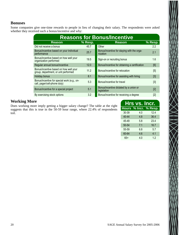#### **Bonuses**

Some companies give one-time rewards to people in lieu of changing their salary. The respondents were asked whether they received such a bonus/incentive and why:

| <b>Reasons for Bonus/Incentive</b>                                             |         |                                                        |         |  |  |  |  |  |
|--------------------------------------------------------------------------------|---------|--------------------------------------------------------|---------|--|--|--|--|--|
| <b>Reason</b>                                                                  | % Resp. | <b>Reason</b>                                          | % Resp. |  |  |  |  |  |
| Did not receive a bonus                                                        | 45.7    | Other                                                  | 2.2     |  |  |  |  |  |
| Bonus/incentive based on your individual<br>performance                        | 25.7    | Bonus/incentive for staying with the orga-<br>nization | 2.1     |  |  |  |  |  |
| Bonus/incentive based on how well your<br>organization performed               | 19.5    | Sign-on or recruiting bonus                            | 1.6     |  |  |  |  |  |
| Regular annual bonus/incentive                                                 | 12.0    | Bonus/incentive for obtaining a certification          | [6]     |  |  |  |  |  |
| Bonus/incentive based on how well your<br>group, department, or unit performed | 11.2    | Bonus/incentive for relocation                         | [5]     |  |  |  |  |  |
| Holiday bonus                                                                  | 8.1     | Bonus/incentive for assisting with hiring              | $[3]$   |  |  |  |  |  |
| Bonus/incentive for special work (e.g., on-<br>call, pager/cell-phone duty)    | 5.3     | Bonus/incentive for travel                             | [3]     |  |  |  |  |  |
| Bonus/incentive for a special project                                          | 5.1     | Bonus/incentive dictated by a union or<br>legislation  | [2]     |  |  |  |  |  |
| By exercising stock options                                                    | 3.2     | Bonus/incentive for receiving a degree                 | [2]     |  |  |  |  |  |

#### **Working More**

Does working more imply getting a bigger salary change? The table at the right suggests that this is true in the 50-59 hour range, where 22.4% of respondents toil.

| Hours % Incr. % Resp. |
|-----------------------|
| 12.4                  |
| 36.4                  |
| 23.4                  |
| 16.7                  |
| 5.7                   |
| 4.1                   |
| 1.2                   |
|                       |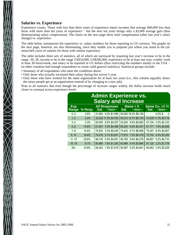#### **Salaries vs. Experience**

Experience counts. Those with less than three years of experience report incomes that average \$40,000 less than those with more than ten years of experience − but the next ten years brings only a \$3,000 average gain (thus demonstrating salary compression). The charts on the next page show *total* compensation (after last year's salary change) vs. experience.

The table below summarizes the experience vs. salary numbers for those reporting in US currency. The graphs on the next page, however, are also illuminating, since they enable you to pinpoint just where you stand in the (almost) bell curve of salaries for those with similar experience.

The table includes three sets of statistics, all of which are narrowed by requiring last year's increase to be in the range -30..30, income to be in the range US\$10,000..US\$200,000, experience to be at least one year, weekly work at least 30 hours/week, and salary to be reported in US dollars (thus restricting the numbers mostly to the USA − no other countries had enough respondents to create valid general statistics). Statistical groups include:

- Summary of all respondents who meet the conditions above.
- Only those who actually increased their salary during this survey's year.
- Only those who have worked for the same organization for at least two years (i.e., this column arguably shows the raises people get at an organization instead of by changing to a new job).

Note in all statistics that even though the percentage of increase ranges widely, the dollar increase holds much closer to constant across experience levels.

| <b>Admin Experience vs.</b><br><b>Salary and Increase</b> |         |                                          |                                   |                                         |  |  |  |  |  |
|-----------------------------------------------------------|---------|------------------------------------------|-----------------------------------|-----------------------------------------|--|--|--|--|--|
| <b>Exp</b><br>Range                                       | % Resp. | <b>All Responses</b><br>Sal.<br>--Incr-- | Raise > 0<br>Sal.<br>$-$ lncr $-$ | Same Co. > 2 Yr<br>Sal.<br>$-$ Incr $-$ |  |  |  |  |  |
| 0.0                                                       | 0.5%    | 31,825 5.0% \$1,595                      | 50,000 16.3% \$8,139              | $0.0\%$ \$<br>$\mathbf{0}$              |  |  |  |  |  |
| 12                                                        | 2.2%    | 42,232 11.3% \$4,782                     | 45,012 12.7% \$5,733              | 41,639 11.3% \$4,718                    |  |  |  |  |  |
| 3.4                                                       | 5.3%    | 50,005 8.5% \$4,257                      | 52,630 9.5% \$4,992               | 4.5% \$2,142<br>47,154                  |  |  |  |  |  |
| 5.6                                                       | 14.6%   | 61,637 7.2% \$4,468                      | 60,240 8.9% \$5,341               | 7.6% \$4,655<br>61,171                  |  |  |  |  |  |
| 7.8                                                       | 14.6%   | 74,532 7.4% \$5,545                      | 74,443 8.7% \$6,468               | 6.5% \$4,907<br>75,247                  |  |  |  |  |  |
| 9.10                                                      | 18.4%   | 5.1% \$3,841<br>75,418                   | 7.0% \$5,418<br>77,615            | 4.4% \$3,255<br>73,700                  |  |  |  |  |  |
| 1115                                                      | 25.6%   | 5.5% \$4,951<br>89,730                   | 6.9% \$6,279<br>90,765            | 5.2% \$4,710<br>89,857                  |  |  |  |  |  |
| 1619                                                      | 8.1%    | 1.6% \$1,293<br>80,966                   | 4.4% \$3,684<br>83,999            | 2.2% \$1,778<br>81,120                  |  |  |  |  |  |
| $20+$                                                     | 10.8%   | 1.9% \$1,818<br>94,422                   | 5.2% \$4,841<br>92,597            | 3.4% \$3,238<br>94,083                  |  |  |  |  |  |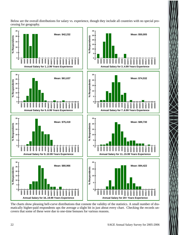Below are the overall distributions for salary vs. experience, though they include all countries with no special processing for geography.



The charts show pleasing bell-curve distributions that connote the validity of the statistics. A small number of dramatically higher-paid respondents ups the average a slight bit in just about every chart. Checking the records uncovers that some of these were due to one-time bonuses for various reasons.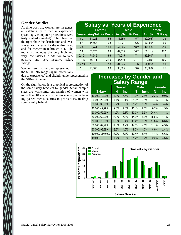#### **Gender Studies**

As time goes on, women are, in general, catching up to men in experience (years ago, computer professions were truly male-dominated). The charts on the right show the distribution and average salary increase for the entire group and for men/women broken out. The top chart includes the very high and very low salaries in addition to very positive and very negative salary swings.

Women seem to be overrepresented in the \$50K-59K range (again, potentially

due to experience) and slightly underrepresented in the \$40-49K range.

On the right below is a graphical representation of the same salary brackets by gender. Small sample sizes are worrisome, but salaries of women with more than 10 years of experience seem, after having passed men's salaries in year's 4-10, to drop significantly behind.

| <b>Salary vs. Years of Experience</b> |        |                |        |                |               |                |  |  |
|---------------------------------------|--------|----------------|--------|----------------|---------------|----------------|--|--|
|                                       |        | <b>Overall</b> |        | <b>Male</b>    | <b>Female</b> |                |  |  |
| Years                                 |        | AvgSal % Resp. |        | AvgSal % Resp. |               | AvgSal % Resp. |  |  |
| 0.2                                   | 41,021 | 5.5            | 41,550 | 5.7            | 32,295#       | 3.8            |  |  |
| 3.4                                   | 44,563 | 6.8            | 42,821 | 6.6            | 57,800#       | 9.6            |  |  |
| 5.6                                   | 58,241 | 16.6           | 57,325 | 16.2           | 66,065        | 21.2           |  |  |
| 7.8                                   | 68,670 | 16.3           | 67,575 | 16.2           | 80,111#       | 17.3           |  |  |
| 9.10                                  | 74,746 | 16.6           | 74,015 | 17.1           | 86,800#       | 11.5           |  |  |
| 1115                                  | 85,141 | 21.5           | 85,619 | 21.7           | 79,110        | 19.2           |  |  |
| 16.19                                 | 79,376 | 7.8            | 81,075 | 7.6            | 64,426#       | 9.6            |  |  |
| $20+$                                 | 93,088 | 8.9            | 93,595 | 9.0            | 86,500#       | 7.7            |  |  |

## **Increases by Gender and Salary Range**

|                | <b>Overall</b> |       |       | <b>Male</b> | <b>Female</b> |          |  |
|----------------|----------------|-------|-------|-------------|---------------|----------|--|
| <b>Salary</b>  | N              | Incr. | N     | Incr.       | N             | Incr.    |  |
| 10,00019,999   | 1.3%           | 6.6%  | 1.3%  | 7.8%        | 2.2%          | 0.0%     |  |
| 20,00029,999   | 1.1%           | 3.1%  | 1.3%  | 3.1%        | $-9/2$        | $-9/0$   |  |
| 30,00039,999   | 5.2%           | 5.3%  | 5.7%  | 5.3%        | $-2^{0}$      | $-2^{0}$ |  |
| 40,00049,999   | 9.8%           | 7.3%  | 10.1% | 7.0%        | 6.7%          | 11.9%    |  |
| 50,00059,999   | 14.0%          | 5.1%  | 13.0% | 5.5%        | 24.4%         | 3.1%     |  |
| 60,00069,999   | 14.9%          | 5.8%  | 14.9% | 6.3%        | 15.6%         | 1.7%     |  |
| 70,00079,999   | 16.5%          | 5.4%  | 16.4% | 5.3%        | 17.8%         | 6.6%     |  |
| 80,00089,999   | 14.0%          | 4.2%  | 14.3% | 4.1%        | 11.1%         | 4.3%     |  |
| 90,00099,999   | 8.2%           | 4.0%  | 8.2%  | 4.2%        | 8.9%          | 2.4%     |  |
| 100,000149,999 | 13.2%          | 6.4%  | 13.4% | 6.4%        | 11.1%         | 6.6%     |  |
| 150,000+       | 1.7%           | 6.0%  | 1.7%  | 6.2%        | 2.2%          | 4.6%     |  |

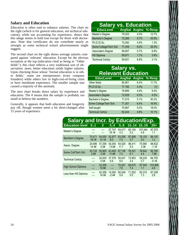#### **Salary and Education**

Education is often said to enhance salaries. The chart on the right (which is for general education, not technical education), while not accounting for experience, shows that this adage seems to hold true except for those with doctorates. Note that certificates do not contribute nearly as strongly as some technical school advertisements might suggest.

The second chart on the right shows average salaries compared against 'relevant' education. Except for the obvious exception at the top (education cited as being in ''Other fields''), this chart reflects a very traditional sort of observation: more, better education yields higher salaries. Upon checking those whose 'formal education is in other fields,' some are entrepreneurs (even company founders) while others live in high-cost-of-living cities or have inordinate experience. The smaller sample size caused a majority of this anomaly.

The next chart breaks down salary by experience and education. The # means that the sample is probably too small to believe the numbers.

Generally, it appears that both education and longevity pay off, though women seem a bit short-changed after 15 years of experience.

| <b>Salary vs. Education</b> |        |      |                              |
|-----------------------------|--------|------|------------------------------|
| <b>EducLevel</b>            |        |      | <b>AvgSal AvgInc % Resp.</b> |
| Master's Degree             | 79,303 | 4.0% | 12.7%                        |
| <b>Bachelor's Degree</b>    | 72,268 | 5.7% | 45.8%                        |
| Ph.D./D.Sc.                 | 72,092 | 4.8% | 1.3%                         |
| Some College/Tech Sch       | 71,039 | 6.0% | 26.5%                        |
| Associate's Degree          | 69,907 | 5.7% | 6.8%                         |
| <b>HS Diploma</b>           | 59,971 | 1.7% | 3.9%                         |
| <b>Technical Cert(s)</b>    | 59,931 | 6.8% | 3.1%                         |

# **Salary vs. Relevant Education**

| <b>EducLevel</b>         |        |      | AvgSal AvgInc % Resp. |
|--------------------------|--------|------|-----------------------|
| Other fields             | 80,901 | 6.4% | 11.7%                 |
| Ph.D./D.Sc.              | 77,185 | 4.3% | $[1]$                 |
| Master's Degree          | 76,889 | 4.6% | 8.4%                  |
| Associate's Degree       | 72,629 | 6.3% | 4.5%                  |
| Bachelor's Degree        | 71,515 | 5.1% | 30.2%                 |
| Some College/Tech Sch.   | 71,351 | 6.4% | 16.9%                 |
| Self-taught              | 70,667 | 5.0% | 18.0%                 |
| <b>Technical Cert(s)</b> | 60,244 | 4.6% | 10.1%                 |

| <b>Salary and Incr. by Education/Exp.</b> |                 |                 |                   |                |               |                |                   |
|-------------------------------------------|-----------------|-----------------|-------------------|----------------|---------------|----------------|-------------------|
| <b>Education level</b>                    | 0.1             | $\overline{2}$  | 34                | 5.9            | 10.14         | 1519           | $20+$             |
| Master's Degree                           | ----            |                 | 27,747<br>18.1#   | 63.417<br>4.3  | 82,154<br>5.2 | 107,444<br>4.9 | 87,575<br>1.1     |
| <b>Bachelor's Degree</b>                  | 70.471<br>18.7# | 54,000<br>10.1# | 52,977<br>8.0     | 63.358<br>7.3  | 87,608<br>3.7 | 78.153<br>2.0  | 88,100<br>1.2     |
| Assoc. Degree                             | 20.696<br>14.4# | 57,258<br>0.0#  | 50,000<br>13.6#   | 54.528<br>11.7 | 86.411<br>5.5 | 75.580<br>3.3# | 98,832<br>$-1.1#$ |
| Some Coll/Tech Sch                        | 32.122<br>3.5#  | 30,900<br>3.3#  | 43,400<br>11.8#   | 67.136<br>7.2  | 78,321<br>6.1 | 78.642<br>4.4  | 95.760<br>7.8#    |
| Technical Cert(s)                         | ----            | 20,000<br>0.0#  | 37,578<br>6.6     | 59.047<br>9.0  | 72,853<br>3.4 | 59,234<br>0.7  | 94,750<br>$-5.1#$ |
| <b>High School Diploma</b>                |                 | 32,295<br>10.8# | ----<br>---       | 75,547<br>7.8  | 89,675<br>7.4 | 87.545<br>1.1  | 103,966<br>4.8    |
| Less than HS Diploma                      | ----            | 42,356<br>14.0# | 14,500<br>$-2.4#$ | 65.549<br>5.9  | 71,932<br>5.5 | 85,315<br>1.3  | 97,208<br>2.8     |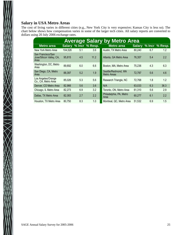## **Salary in USA Metro Areas**

 $\bigtimes$   $\bigtimes$ 

The cost of living varies in different cities (e.g., New York City is very expensive; Kansas City is less so). The chart below shows how compensation varies in some of the larger tech cities. All salary reports are converted to dollars using 20 July 2006 exchange rates.

| <b>Average Salary by Metro Area</b>                   |         |     |                       |                                    |               |          |         |  |  |
|-------------------------------------------------------|---------|-----|-----------------------|------------------------------------|---------------|----------|---------|--|--|
| <b>Metro area</b>                                     |         |     | Salary % Incr % Resp. | <b>Metro area</b>                  | <b>Salary</b> | $%$ Incr | % Resp. |  |  |
| New York Metro Area                                   | 104,526 | 5.1 | 3.6                   | Austin, TX Metro Area              | 80,240        | 6.7      | 1.2     |  |  |
| San Francisco/San<br>Jose/Silicon Valley, CA,<br>Area | 95,815  | 4.5 | 11.2                  | Atlanta, GA Metro Area             | 76,357        | 5.4      | 2.2     |  |  |
| Washington, DC, Metro<br>Area                         | 89,692  | 6.0 | 6.6                   | Boston, MA, Metro Area             | 75,236        | 4.3      | 6.3     |  |  |
| San Diego, CA, Metro<br>Area                          | 88,397  | 5.2 | 1.9                   | Seattle/Redmond, WA<br>Metro Areas | 72,787        | 5.6      | 4.6     |  |  |
| Los Angeles/Orange<br>Co., CA, Metro Area             | 85,026  | 5.3 | 5.6                   | Research Triangle, NC              | 72,768        | 1.8      | 1.2     |  |  |
| Denver, CO Metro Area                                 | 82,966  | 5.6 | 3.6                   | N/A                                | 63,033        | 6.3      | 36.3    |  |  |
| Chicago, IL Metro Area                                | 82,273  | 6.9 | 3.2                   | Toronto, ON, Metro Area            | 61,310        | 5.6      | 2.9     |  |  |
| Dallas, TX Metro Area                                 | 82,083  | 2.7 | 2.2                   | Philadelphia, PA, Metro<br>Area    | 60,277        | 6.1      | 2.2     |  |  |
| Houston, TX Metro Area                                | 80.750  | 8.3 | 1.0                   | Montreal, QC, Metro Area           | 51,532        | 6.9      | 1.5     |  |  |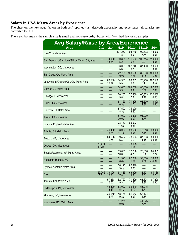#### **Salary in USA Metro Areas by Experience**

The chart on the next page factors in both self-reported (vs. derived) geography and experience; all salaries are converted to US\$.

The # symbol means the sample size is small and not trustworthy; boxes with '----' had few or no samples.

| <b>Avg Salary/Raise by Area/Experience</b>      |                 |                 |                 |                  |                    |                    |
|-------------------------------------------------|-----------------|-----------------|-----------------|------------------|--------------------|--------------------|
| <b>Area</b>                                     | 0.1             | 24              | 5.9             |                  | 1014 1519          | $20+$              |
| New York Metro Area                             |                 | ----            | 104,250<br>7.8  | 93,780<br>4.0    | 109,333<br>7.7#    | 118,000<br>0.6#    |
| San Francisco/San Jose/Silicon Valley, CA, Area | ----<br>----    | 74,000<br>13.2# | 80,865<br>5.2   | 111,592<br>6.2   | 102,714<br>0.0     | 110,066<br>$-3.0#$ |
| Washington, DC, Metro Area                      | ----            | ----            | 83,083<br>5.6   | 102,240<br>8.7   | 87,400<br>5.3      | 90,666<br>3.0#     |
| San Diego, CA, Metro Area                       |                 | ----<br>----    | 42,750<br>9.2#  | 109,500<br>2.8#  | 82,680<br>1.8#     | 106,666<br>5.3#    |
| Los Angeles/Orange Co., CA, Metro Area          | ----<br>----    | 60,500<br>10.0# | 84,900<br>5.5   | 99,002<br>6.3    | 78,250<br>3.4      | 102,500<br>3.5#    |
| Denver, CO Metro Area                           |                 | ----<br>----    | 64,600<br>3.9   | 104,750<br>9.3   | 80,500<br>6.3#     | 87,000<br>2.6#     |
| Chicago, IL Metro Area                          |                 | ----<br>----    | 60,262<br>9.8   | 77,800<br>7.6    | 105,833<br>4.4#    | 122,000<br>0.0#    |
| Dallas, TX Metro Area                           |                 |                 | 61,123<br>10.3# | 71,625<br>$-1.7$ | 108,500<br>2.8#    | 113,000<br>4.6#    |
| Houston, TX Metro Area                          |                 | ----            | 87,500<br>8.3#  | 74,000<br>8.4#   | ----               |                    |
| Austin, TX Metro Area                           |                 |                 | 54,000<br>20.0# | 79,600<br>3.0#   | 94,000<br>3.7#     |                    |
| London, England Metro Area                      |                 | ----            | 73,132<br>11.6# | 85,903<br>2.2#   | ----               |                    |
| Atlanta, GA Metro Area                          | ----            | 40,450<br>2.7#  | 68,000<br>11.7# | 98,500<br>4.0#   | 76,818<br>7.4#     | 98,000<br>0.0#     |
| Boston, MA, Metro Area                          | ----            | 64,666<br>6.7#  | 69,437<br>6.4   | 78,603<br>6.6    | 87,333<br>-4.4#    | 80,000<br>$-20.0#$ |
| Ottawa, ON, Metro Area                          | 70,471<br>18.7# | ----            | ----<br>----    | 73,995<br>1.6#   | ----<br>----       |                    |
| Seattle/Redmond, WA Metro Areas                 |                 | ----<br>----    | 59,800<br>10.6  | 77,736<br>4.7    | 75,666<br>0.6#     | 84,333<br>2.7#     |
| Research Triangle, NC                           |                 | ----            | 61,920<br>6.6#  | 67,000<br>1.5#   | 97,000<br>9.0#     | 76,000<br>$-14.6#$ |
| Sydney, Australia Metro Area                    |                 | ----<br>----    | 56,120<br>3.4#  | 82,310<br>10.0#  | ----               |                    |
| N/A                                             | 29,266<br>6.2   | 39,095<br>10.0  | 61,435<br>7.8   | 66,329<br>4.6    | 83,421<br>3.6      | 84,189<br>2.7      |
| Toronto, ON, Metro Area                         | ----<br>----    | 57,258<br>0.0#  | 52,727<br>9.3   | 71,529<br>7.6#   | 63,424<br>4.3#     | 87,208<br>-4.9#    |
| Philadelphia, PA, Metro Area                    | ----            | 42,500<br>5.4#  | 68,000<br>5.4#  | 89,440<br>14.7#  | 58,015<br>4.7      |                    |
| Montreal, QC, Metro Area                        | ----            | 39,640<br>4.7#  | 48,155<br>9.8#  | 61,663<br>2.9#   | 63,424<br>4.3#     |                    |
| Vancouver, BC, Metro Area                       | ----            | ----<br>----    | 57,258<br>0.0#  | ----<br>----     | 44,926<br>$-17.7#$ | ----               |

 $\geq$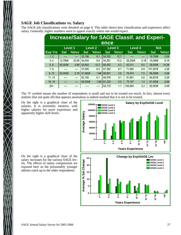#### **SAGE Job Classifications vs. Salary**

The SAGE job classifications were detailed on page 6. This table shows how classification and experience affect salary. Generally, higher numbers seem to appear exactly where one would expect.

| <b>Increase/Salary for SAGE Classif. and Experi-</b><br>ence |                                                                             |       |            |       |            |       |         |       |            |         |  |
|--------------------------------------------------------------|-----------------------------------------------------------------------------|-------|------------|-------|------------|-------|---------|-------|------------|---------|--|
|                                                              | <b>Level 1</b><br><b>Level 2</b><br>N/A<br><b>Level 3</b><br><b>Level 4</b> |       |            |       |            |       |         |       |            |         |  |
| <b>Exp Yrs</b>                                               | <b>Sal</b>                                                                  | %Incr | <b>Sal</b> | %Incr | <b>Sal</b> | %Incr | Sal     | %Incr | <b>Sal</b> | %Incr   |  |
| 1.2                                                          |                                                                             | ----  | 32,196     | 9.1   | 54,392     | 12.7  |         | ----  | 19,795#    | 0.0#    |  |
| 3.4                                                          | 12,786#                                                                     | 25.0# | 44,544     | 6.6   | 54,281     | 10.2  | 26,250# | 0.1#  | 15,069#    | 9.1#    |  |
| 5.6                                                          | 65,000#                                                                     | 4.8#  | 55,600     | 10.2  | 60,452     | 6.2   | 62,511  | 8.0   | 39,050#    | 14.2#   |  |
| 7.8                                                          | ----                                                                        |       | 57,585     | 6.0   | 67,382     | 6.7   | 71,965  | 8.8   | 107,267#   | 4.2#    |  |
| 9.10                                                         | 62,000#                                                                     | 5.1#  | 61,982#    | 1.6#  | 68,951     | 3.8   | 78,474  | 7.0   | 56,509#    | 0.0#    |  |
| 1115                                                         |                                                                             |       | 62,165     | 6.1   | 84,578     | 5.1   | 91,891  | 5.6   | 84,837#    | 3.2#    |  |
| 1619                                                         |                                                                             |       | 65,000#    | 1.6#  | 81,229     | 0.5   | 75,107  | 1.4   | 67,500#    | $-3.6#$ |  |
| $20+$                                                        | ----                                                                        | ----  |            | ----  | 83,172     | 1.1   | 105,064 | 2.2   | 92,063#    | 3.4#    |  |

The '#' symbol means the number of respondents is small and not to be trusted too much. In fact, almost every statistic (but not quite all) that appears anomalous is indeed marked that it is not to be trusted.

On the right is a graphical chart of the salaries. It is extremely intuitive, with higher salaries for more experience and apparently higher skill levels.



On the right is a graphical chart of the salary increases for the various SAGE levels. The effects of salary compression are exposed here as the presumably younger admins catch up to the older respondents.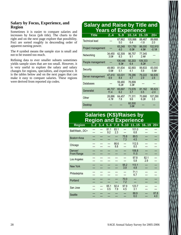#### **Salary by Focus, Experience, and Region**

Sometimes it is easier to compare salaries and increases by focus (job title). The charts to the right and on the next page explore that possibility. Foci are sorted roughly in descending order of apparent earning power.

The # symbol means the sample size is small and not to be trusted too much.

Refining data to ever smaller subsets sometimes yields sample sizes that are too small. However, it is very useful to explore the salary and salary changes for regions, specialties, and experience. It is the tables below and on the next pages that can make it easy to compare salaries. These regions were derived from reported zip codes.

## **Salary and Raise by Title and Years of Experience**

| <b>Title</b>          | 2.4            | 5.9             | 1014            | 1519             | $20+$              |
|-----------------------|----------------|-----------------|-----------------|------------------|--------------------|
| <b>Technical lead</b> |                | 67,862<br>5.0   | 105,998<br>6.4  | 88,467<br>$-1.8$ | 89,668<br>2.0      |
| Project management    |                | 65,248<br>4.0   | 101,750<br>6.0# | 86,000<br>4.9#   | 102,910<br>$-0.1#$ |
| Networking            | 34,450<br>3.0# | 62,309<br>8.3   | 96,757<br>9.1   | 77,345<br>2.4#   |                    |
| People management     |                | 106,446<br>9.3# | 92,203<br>6.4   | 109,333<br>8.2#  |                    |
| Security              | 49,983<br>5.6# | 81,634<br>5.1   | 82,893<br>4.1   | 99,833<br>5.9    | 83,000<br>5.6#     |
| Server management     | 47,410<br>9.9  | 63,031<br>8.4   | 78,286<br>4.7   | 79,222<br>2.9    | 94,635<br>2.6      |
| Databases             |                | 59.480<br>6.2#  | 76.899<br>3.3#  |                  |                    |
| Generalist            | 46,737<br>11.4 | 65,697<br>6.2   | 73,578<br>3.7   | 81,162<br>0.5    | 95,623<br>$-2.0$   |
| Other                 | 28.886<br>4.7# | 64.457<br>7.8   | 71.311<br>9.6   | 70.666<br>6.2#   | 107,290<br>3.5     |
| Desktop               |                |                 | 60,500<br>3.6#  |                  |                    |

# **Salaries (K\$)/Raises by Region and Experience**

| <b>Region</b>                 |     | $12$ $34$ $56$ |             | 7.8         | 9.10        | 111 <u>5</u>  | 1619        | $20+$       |
|-------------------------------|-----|----------------|-------------|-------------|-------------|---------------|-------------|-------------|
| Balt/Wash., DC+               | --- | ---            | 81.1<br>9.2 | 83.1<br>2.3 | ---<br>---  | 101.0<br>6.8  |             |             |
| Boston+Area                   |     |                |             |             | 75.8<br>7.3 | 89.5<br>4.5   |             |             |
| Chicago                       |     |                |             | 66.6<br>8.8 | ---         | 112.5<br>8.5  |             |             |
| Denver/<br><b>Front Range</b> |     |                |             |             |             | 106.8<br>11.5 |             |             |
| Los Angeles                   | --- |                |             |             |             | 97.8<br>5.8   | 82.1<br>2.9 |             |
| <b>New York</b>               |     |                |             |             | 95.2<br>3.9 | 113.1<br>4.8  |             |             |
| Philadelphia                  |     |                |             |             |             | 71.1<br>6.7   |             |             |
| Portland                      |     |                |             |             | 70.0<br>7.2 | ---           |             |             |
| San Jose                      | --- |                | 65.1<br>0.5 | 92.4<br>7.9 | 97.9<br>4.5 | 123.7<br>3.1  |             |             |
| Seattle                       |     |                |             |             |             | 88.9<br>6.0   |             | 87.8<br>4.0 |
|                               |     |                |             |             |             |               |             |             |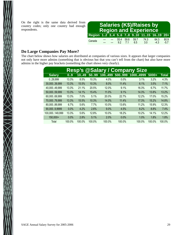On the right is the same data derived from country codes; only one country had enough respondents.

|                                      |  |       |           |            | <b>Salaries (K\$)/Raises by</b><br><b>Region and Experience</b> |                |                |
|--------------------------------------|--|-------|-----------|------------|-----------------------------------------------------------------|----------------|----------------|
| Region 12 34 56 78 910 1115 1619 20+ |  |       |           |            |                                                                 |                |                |
| Canada                               |  | 92 71 | 55.4 59.8 | 59.7<br>65 | 74.3<br>3.0                                                     | 64.3<br>$-4.3$ | 80.9<br>$-5.7$ |

#### **Do Large Companies Pay More?**

 $\bigtimes$ 

The chart below shows how salaries are distributed at companies of various sizes. It appears that larger companies not only have more admins (something that is obvious but that you can't tell from the chart) but also have more admins in the higher pay brackets (something the chart shows very clearly).

| <b>@Salary / Company Size</b><br><b>Resp's</b> |        |        |        |          |        |          |         |              |
|------------------------------------------------|--------|--------|--------|----------|--------|----------|---------|--------------|
| <b>Salary</b>                                  | 0.9    | 1049   | 5099   | 100499   | 500999 | 10004999 | $5000+$ | <b>Total</b> |
| 029,999                                        | 13.3%  | 8.5%   | 10.3%  | 4.0%     | 0.0%   | 3.1%     | 3.2%    | 4.3%         |
| 30,00039,999                                   | 13.3%  | 15.5%  | 10.3%  | 8.0%     | 11.4%  | 6.1%     | 3.5%    | 7.1%         |
| 40,00049,999                                   | 13.3%  | 21.1%  | 20.5%  | 12.0%    | 9.1%   | 16.3%    | 6.7%    | 11.7%        |
| 50,000.59,999                                  | 13.3%  | 14.1%  | 15.4%  | 11.0%    | 9.1%   | 14.3%    | 13.8%   | 13.2%        |
| 60,000.69,999                                  | 13.3%  | 7.0%   | 5.1%   | 20.0%    | 22.7%  | 12.2%    | 17.0%   | 15.2%        |
| 70,00079,999                                   | 13.3%  | 15.5%  | 10.3%  | 14.0%    | 11.4%  | 17.3%    | 15.2%   | 14.8%        |
| 80,00089,999                                   | 6.7%   | 5.6%   | 7.7%   | $10.0\%$ | 13.6%  | 11.2%    | 15.9%   | 12.3%        |
| 90,0009,9999                                   | 0.0%   | 4.2%   | 2.6%   | 9.0%     | 4.5%   | 8.2%     | 8.8%    | 7.4%         |
| 100,000149,999                                 | 13.3%  | 5.6%   | 12.8%  | 10.0%    | 18.2%  | 10.2%    | 14.1%   | 12.2%        |
| 150,000+                                       | 0.0%   | 2.8%   | 5.1%   | 2.0%     | 0.0%   | 1.0%     | 1.8%    | 1.8%         |
| Total                                          | 100.0% | 100.0% | 100.0% | 100.0%   | 100.0% | 100.0%   | 100.0%  | 100.0%       |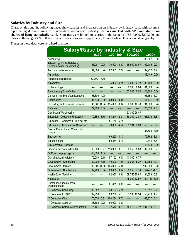#### **Salaries by Industry and Size**

Charts on this and the following pages show salaries and increases on an industry-by-industry basis with columns representing different sizes of organization within each industry. **Entries marked with '#' have almost no chance of being statistically valid.** Statistics were limited to salaries in the range of US\$10,000..\$200,000 and raises in the range -30%..30%. No other restrictions were applied (i.e., these charts include a global geography).

Trends in these data were very hard to discern.

| <b>Salary/Raise by Industry &amp; Size</b>                    |                |                 |                |                |
|---------------------------------------------------------------|----------------|-----------------|----------------|----------------|
|                                                               | 0.99           | 100499          | 500999         | 1000+          |
| Accounting                                                    |                |                 |                | 86,362 6.8#    |
| Advertising, Public Relations,<br>Communication, or Marketing | 51,987<br>0.0# | 70,500<br>6.8#  | 55,500 10.6#   | 92,105 12.2    |
| Aeronautical/aerospace                                        | 34,000 6.2#    | 87,903<br>7.7#  | ----           | 92,937 4.7     |
| Agriculture                                                   |                |                 | ----           | 48,449 10.0#   |
| Architecture (buildings)                                      | 52,000 - 13.3# | ----<br>----    | ----<br>----   |                |
| Automotive                                                    |                | 75,000<br>4.2#  | 84,600<br>2.7# | 88,100 5.9#    |
| Biotechnology                                                 |                |                 | 60,000<br>0.0# | 61,000 10.9#   |
| Broadcasting/Cable/Video                                      | ----           | ----<br>----    | 63,000 5.0#    | 124,800 0.0#   |
| Computer hardware/semiconductor                               | 93,600<br>4.0# | ----            | ----<br>----   | 5.9<br>95,553  |
| Construction                                                  | 0.0#<br>37,673 | 63,000<br>0.0#  | ----<br>----   | 47,171<br>9.6# |
| <b>Consulting and Business Services</b>                       | 48,000 11.6#   | 135,000 8.9#    | 62,000 12.7#   | 91,800<br>3.2# |
| <b>Defense</b>                                                | 72,000 10.8#   | ----            | ----           | 76,820 12.6    |
| Distribution/Warehousing                                      |                | ----<br>----    | 63,000 26.0#   |                |
| <b>Education - College or University</b>                      | 72,850<br>3.7# | 64,244<br>2.3   | 68,000 2.8#    | 66,576<br>3.8  |
| Education - Commercial, training, etc.                        |                | 5.7#<br>51,450  |                |                |
| <b>Education - Elementary or Secondary</b>                    | ----           | 70,000<br>4.5#  | 61,594<br>3.0# | 53,875<br>6.7  |
| Energy Production or Mining (oil,<br>coal, etc.)              |                |                 |                | 87,500<br>3.1# |
| Engineering                                                   | ----           | 69,250<br>4.1#  | ----<br>----   | 8.1<br>75,762  |
| Entertainment                                                 |                | 52,854<br>9.1#  | ----<br>----   | 110,144<br>5.6 |
| <b>Environmental Services</b>                                 |                |                 | ----<br>----   | 48,679<br>8.2# |
| Financial services (all kinds)                                | 65,500 13.2    | 116,900<br>9.1  | 100,659 5.6#   | 3.2<br>87,080  |
| GIS/cartography/mapping                                       | 40,000<br>1.3# |                 |                | ----           |
| Gambling/gaming/lottery                                       | 70,000<br>6.1# | 57,102 9.4#     | 40,000<br>6.7# | ----<br>----   |
| Government - Contracting                                      | 52,000 5.1#    | 42,500 17.2#    | 90,666 5.2#    | 82,353 4.9     |
| Government - Military                                         | 113,000 11.9#  | 105,000<br>5.0# | ----<br>----   | 102,000 5.2#   |
| Government - Non-Military                                     | 62,200<br>3.5# | 89,000<br>3.5#  | 7.1#<br>39,956 | 78,400 - 1.5   |
| Health Care, Medicine                                         |                | 62,000<br>3.8#  | 59,750 25.6#   | 84,653 6.2     |
| Hospitality                                                   |                | ----<br>----    | 45,000 12.5#   | 53,463 - 5.4#  |
| Human resources/human<br>capital/recruiter                    |                | 61,663<br>0.0#  |                |                |
| IT Company: Consulting                                        | 2.6<br>90,082  | 40,184<br>6.7#  | ----           | 73,617<br>2.7  |
| IT Company: ISP/ASP                                           | 62,956<br>6.6  | 89,250<br>5.1   | 101,500 12.5#  | 58,779<br>4.9  |
| IT Company: Other                                             | 75,070<br>6.3  | 100,284<br>5.7# |                | 68,827<br>0.4  |
| IT Company: Security                                          | 9.2#<br>43,186 | 90,000<br>3.8#  | ----           |                |
| IT Company: Software Development                              | 3.0<br>75,161  | 72,519 3.7      | 75,970<br>7.4# | 101,019 6.2    |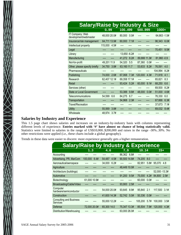| <b>Salary/Raise by Industry &amp; Size</b> |              |      |               |      |              |      |               |      |
|--------------------------------------------|--------------|------|---------------|------|--------------|------|---------------|------|
|                                            | 0.99         |      | 100499        |      | 500999       |      | 1000+         |      |
| IT Company: Web<br>development/webmaster   | 48,000 20.0# |      | 80,000        | 0.0# |              |      | 64,663 - 1.5# |      |
| Insurance/risk management                  | 64,711 13.9# |      | 60,000        | 7.1# |              |      | 96,343        | 6.0# |
| Intellectual property                      | 115,000      | 4.5# |               |      |              |      |               |      |
| Legal                                      |              |      |               |      |              |      | 70,451        | 9.5# |
| Library                                    |              |      | 13,650 - 6.2# |      |              |      |               |      |
| Manufacturing                              |              |      | 41,272 8.2#   |      | 89,666 11.3# |      | 81,960 - 0.9  |      |
| Not-for-profit                             | 49,201 11.9  |      | 54,320        | 5.5  | 87,360       | 0.0# |               |      |
| Other, please specify briefly              | 34,750 3.8#  |      | 63,160 11.7   |      | 53,633       | 8.2# | 76,591        | 4.0  |
| Pharmaceuticals                            |              |      |               |      |              |      | 104,994       | 8.2# |
| Publishing                                 | 74,000       | 2.6# | 67,068        | 7.3# | 120,000      | 4.3# | 71,918        | 4.1  |
| Research                                   | 62,407 12.1# |      | 69,358 17.1#  |      | ----         |      | 65,821        | 8.3  |
| Retail                                     |              |      | 93,424 5.2#   |      | 60,000       | 9.1# | 68,250        | 6.6  |
| Services (other)                           |              |      |               |      |              |      | 69,500        | 8.2# |
| <b>State or Local Government</b>           |              |      | 53,388        | 9.8# | 48,000       | 0.0# | 51,000        | 4.6# |
| Telecommunications                         | 54,599       | 6.6  | 84,275        | 6.7  |              |      | 76,330        | 6.0  |
| Transportation                             |              |      | 54,968        | 2.3# |              |      | 67,666        | 6.3# |
| <b>Travel/Recreation</b>                   |              |      |               |      |              |      | 37,673        | 7.1# |
| <b>Utility</b>                             | 55,569       | 3.8# |               |      |              |      | 69,032        | 8.4# |
| Wholesale                                  | 48,974       | 3.7# |               |      |              |      |               |      |

#### **Salaries by Industry and Experience**

This 1.5 page chart shows salaries and increases on an industry-by-industry basis with columns representing different levels of experience. **Entries marked with '#' have almost no chance of being statistically valid.** Statistics were limited to salaries in the range of US\$10,000..\$200,000 and raises in the range -30%..30%. No other restrictions were applied (i.e., these charts include a global geography).

Trends in these data were easier to discern: more experience generally gets a higher remuneration.

| <b>Salary/Raise by Industry &amp; Experience</b> |              |      |              |      |              |      |         |      |                |      |
|--------------------------------------------------|--------------|------|--------------|------|--------------|------|---------|------|----------------|------|
|                                                  | 13           |      | 4.6          |      | 7.9          |      | 1014    |      | $15+$          |      |
| Accounting                                       |              |      |              |      | 86,362       | 6.8# |         |      |                |      |
| Advertising, PR, MarCom                          | 100,000      | 6.4# | 54.487       | 4.5# | 90,500 14.8# |      | 74,205  | 8.0  |                |      |
| Aeronautical/aerospace                           |              |      | 34,000       | 6.2# |              |      | 82,951  | 5.8# | 95,070         | 4.8  |
| Agriculture                                      |              |      |              |      | 48,449 10.0# |      |         |      |                |      |
| Architecture (buildings)                         |              |      |              |      |              |      |         | ---- | 52,000 - 13.3# |      |
| Automotive                                       |              |      |              |      | 91.200       | 9.5# | 75,000  | 4.2# | 84,800         | 2.5# |
| Biotechnology                                    | 61,000 10.9# |      |              |      |              |      | 60,000  | 0.0# |                |      |
| Broadcasting/Cable/Video                         |              |      |              |      | 93,900       | 2.5# |         |      |                |      |
| Computer<br>hardware/semiconductor               |              |      | 54,000 20.0# |      | 93.645       | 8.9# | 95,840  | 2.1  | 117,500        | 3.1# |
| Construction                                     |              |      | 41,600 14.3# |      | 52,742 5.0#  |      | 50,336  | 0.0# |                |      |
| <b>Consulting and Business</b><br>Services       |              |      | 55,000 12.2# |      |              |      | 105.200 | 5.7# | 100,000        | 3.5# |
| Defense                                          | 72,000 20.0# |      | 65,300 14.0  |      | 75,347 13.3# |      | 85,504  | 7.9# | 120,000        | 4.3# |
| Distribution/Warehousing                         |              |      |              |      | 63,000 26.0# |      |         |      |                |      |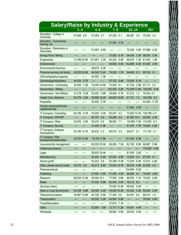| <b>Salary/Raise by Industry &amp; Experience</b> |              |      |               |      |              |      |               |      |                |      |
|--------------------------------------------------|--------------|------|---------------|------|--------------|------|---------------|------|----------------|------|
|                                                  | 13           |      | 4.6           |      | 7.9          |      | 1014          |      | $15+$          |      |
| Education - College or<br>University             | 47,684 6.8   |      | 57,093        | 3.7  | 67,235 4.1   |      | 66,381        | 3.4  | 75,249         | 3.4  |
| Education - Commercial,<br>training, etc.        |              |      |               |      | 51,450 5.7#  |      |               |      |                |      |
| Education - Elementary or<br>Secondary           |              |      | 51,597        | 8.6# |              |      | 70,000        | 4.5# | 57,966         | 4.2# |
| <b>Energy Prod./ Mining</b>                      |              |      | ----          |      | 70,000       | 6.1# | 94,000        | 3.3# | 98,500         | 0.0# |
| Engineering                                      | 12,786 25.0# |      | 101,867       | 3.3# | 63,224       | 8.4# | 86,833        | 7.3# | 81,000         | 1.8# |
| Entertainment                                    |              |      |               |      | 55,609       | 6.5# | 142,666       | 8.3# | 87,250         | 2.4# |
| <b>Environmental Services</b>                    | ----         | ---- | 48,679        | 8.2# |              |      |               |      |                |      |
| Financial services (all kinds)                   | 40,000 25.0# |      | 94,500 13.4#  |      | 79,000       | 1.7# | 94,649        | 6.3  | 89,190         | 2.1  |
| GIS/cartography/mapping                          |              |      | 40,000        | 1.3# | ----         |      |               |      |                |      |
| Gambling/gaming/lottery                          | 40,000       | 6.7# | ----          | ---- | 57,102       | 9.4# | 70,000        | 6.1# | ----           | ---- |
| Government - Contracting                         | 43,500       | 7.2# | 73,000 14.6#  |      | 73,000       | 6.1  | 81,750        | 3.5# | 97,171         | 2.3  |
| Government - Military                            |              |      | ----          |      | 102,000      | 5.2# | 113,000 11.9# |      | 105,000 5.0#   |      |
| Government - Non-Military                        | 31,218       | 9.3# | 53,200 3.6#   |      | 59,666       | 6.7# | 81,012        | 1.2  | 79,434 -4.1    |      |
| Health Care, Medicine                            | 54,379       | 3.6# | 59,666 10.0#  |      | 68,650 19.6# |      | 81,731        | 7.3  | 102,056 5.5    |      |
| Hospitality                                      |              |      | 53,500        | 9.7# |              |      |               |      | 44,926 - 17.7# |      |
| Human resources/human<br>capital/recruiter       |              |      |               |      |              |      | 61,663        | 0.0# |                |      |
| IT Company: Consulting                           | 40,184       | 6.7# | 33,000        | 0.0# | 63,047       | 4.2  | 73,000 14.1#  |      | 106,786 -0.3   |      |
| IT Company: ISP/ASP                              |              |      | 60,757        | 5.8  | 63,288       | 5.5  | 81,083 10.2   |      | 92,500         | 0.2# |
| IT Company: Other                                | 20,000       | 0.0# | 56,233        | 5.8  | 88,892       | 7.7  | 63,666 - 7.0# |      | 110,050 6.3    |      |
| IT Company: Security                             |              |      | 41,402 11.9#  |      |              |      | 51,579 7.7#   |      | 75,000         | 4.2# |
| IT Company: Software<br>Development              | 55,190 13.1# |      | 65,832 4.3    |      | 66,072       | 4.9  | 99,677        | 5.1  | 111,702 0.1    |      |
| IT Company: Web<br>development/webmaster         | 33,795 10.0# |      | 76,700 - 5.5# |      |              |      | 101,000       | 6.3# |                |      |
| Insurance/risk management                        |              |      | 60,000 25.0#  |      | 66,000       | 7.3# | 82,160        | 9.5# | 89,667         | 5.9# |
| Intellectual property                            |              |      |               |      |              |      |               |      | 115,000        | 4.5# |
| Legal                                            |              |      | 59,902 16.4#  |      | ----         |      | 81,000 2.5#   |      | ----           | ---- |
| Manufacturing                                    |              | ---- | 55,250 6.4#   |      | 62,022 6.5#  |      | 70,920 2.9    |      | 97,000         | 0.1  |
| Not-for-profit                                   |              | ---- | 53,223 5.6    |      | 53,266 13.3# |      | 73,250 6.4#   |      | 37,673         | 0.0# |
| Other, please specify briefly                    | 35,010       | 3.9  | 63,212 8.8#   |      | 70,000 19.7# |      | 66,000 5.8#   |      | 83,500         | 2.9  |
| Pharmaceuticals                                  |              |      | ----          | ---- | ----         | ---- | 104,994 8.2#  |      | ----           | ---- |
| Publishing                                       | ----         | ---- | 57,500 6.5#   |      | 51,909 4.5#  |      | 89,682        | 4.7  | 78,000         | 2.6# |
| Research                                         | 66,000 10.0# |      | 49,264 15.1   |      | 77,592 4.8#  |      | 88,500        | 7.1# | 79,000         | 5.6# |
| Retail                                           | ----         |      | 57,000 6.6#   |      | 93,000 0.0#  |      | 78,212 8.2    |      | ----           | ---- |
| Services (other)                                 | ----         | ---- | ----          | ---- | 70,000 16.5# |      | 69,000        | 0.0# | ----           | ---- |
| <b>State or Local Government</b>                 | 43,164 8.9#  |      | 50,000        | 4.2# | 75,000 15.4# |      | 42,000        | 5.0# | 50,000         | 2.5# |
| Telecommunications                               | 34,867 15.8# |      | 44,736 9.5#   |      | 71,445 5.8   |      | 84,491        | 6.0  | 88,014         | 1.5  |
| Transportation                                   | ----         | ---- | 50,000 4.2#   |      | 64,984 6.5#  |      | ----          | ---- | 78,000         | 4.0# |
| <b>Travel/Recreation</b>                         |              |      | ----          | ---- | 37,673 7.1#  |      | ----          | ---- | ----           | ---- |
| <b>Utility</b>                                   | ----         | ---- | 53,000        | 1.9# | 72,717 11.2# |      | 59,901        | 4.4# | ----           | ---- |
| Wholesale                                        | ----         | ---- | ----          | ---- | 58,962 5.5#  |      | 29,000        | 0.0# | ----           | ---- |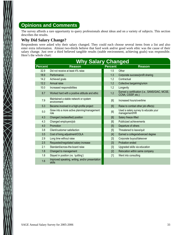# **Opinions and Comments**

The survey affords a rare opportunity to query professionals about ideas and on a variety of subjects. This section describes the results.

## **Why Did Salary Change?**

 $\bigtimes$ 

Respondents were asked why their salary changed. They could each choose several items from a list and also enter extra information. Almost two-thirds believe that hard work and/or good work ethic was the cause of their salary change. Just over a third believed tangible results (stable environment, achieving goals) was responsible. Here's the whole chart:

|                | <b>Why Salary Changed</b>                                 |                |                                                                      |
|----------------|-----------------------------------------------------------|----------------|----------------------------------------------------------------------|
| <b>Percent</b> | <b>Reason</b>                                             | <b>Percent</b> | <b>Reason</b>                                                        |
| 32.9           | Did not receive at least 4% raise                         | 1.5            | Other                                                                |
| 18.9           | Performance                                               | 1.3            | Corporate success/profit sharing                                     |
| 14.2           | Achieved goals                                            | 1.2            | Contractual                                                          |
| 12.2           | Annual raise                                              | 1.2            | Collective bargaining/union                                          |
| 10.0           | Increased responsibilities                                | 1.2            | Longevity                                                            |
| 8.7            | Worked hard with a positive attitude and ethic            | 1.2            | Earned a certification (i.e., SANS/GIAC, MCSE,<br>CCNA, CISSP, etc.) |
| 7.9            | Maintained a stable network or system<br>environment      | [6]            | Increased hours/overtime                                             |
| 5.3            | Became involved in a high-profile project                 | [6]            | Raise to combat other job offer(s)                                   |
| 5.0            | Grew into a more active planning/management<br>role       | [6]            | Used a salary survey to educate your<br>management/HR                |
| 4.3            | Changed (reclassified) position                           | [6]            | Salary freeze lifted                                                 |
| 4.3            | Changed employers/job                                     | [6]            | Publicized achievements                                              |
| 4.0            | Promotion                                                 | [5]            | Departure of others                                                  |
| 3.8            | Client/customer satisfaction                              | [5]            | Threatened to leave/quit                                             |
| 3.5            | Cost of living adjustment/COLA                            | $[4]$          | Earned a college/advanced degree                                     |
| 2.9            | Long time without raise                                   | $[3]$          | Corporate buyout/takeover                                            |
| 2.5            | Requested/negotiated salary increase                      | $[3]$          | Probation ended                                                      |
| 2.1            | Standard/across-the-board raise                           | [3]            | Upgraded skills via education                                        |
| 1.8            | Changed to management                                     | [2]            | Relocation within same company                                       |
| 1.8            | Stayed in position (vs. 'quitting')                       | $[1]$          | Went into consulting                                                 |
| 1.6            | Improved speaking, writing, and/or presentation<br>skills |                |                                                                      |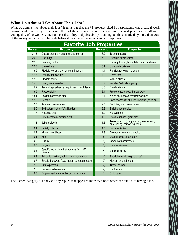## **What Do Admins Like About Their Jobs?**

What do admins like about their jobs? It turns out that the #1 property cited by respondents was a casual work environment, cited by just under one-third of those who answered this question. Second place was 'challenge,' with quality of co-workers, environment flexibility, and job stability rounding out those marked by more than 20% of the survey participants. The table below shows the entire set of standard responses.

|                | <b>Favorite Job Properties</b>                          |                |                                                                              |
|----------------|---------------------------------------------------------|----------------|------------------------------------------------------------------------------|
| <b>Percent</b> | <b>Property</b>                                         | <b>Percent</b> | <b>Property</b>                                                              |
| 31.3           | Casual dress, atmosphere, environment                   | 6.2            | Telecommuting                                                                |
| 25.0           | Challenge                                               | 5.9            | Dynamic environment                                                          |
| 22.5           | Learning on the job                                     | 5.6            | Subsidy for cell, home telecomm, hardware                                    |
| 22.3           | Co-workers                                              | 5.1            | Standard workweek                                                            |
| 18.5           | Flexible working environment, freedom                   | 4.4            | Pension/retirement program                                                   |
| 17.8           | Stability, job security                                 | 4.0            | Comp time                                                                    |
| 17.2           | Flexible hours                                          | 3.8            | <b>Walled offices</b>                                                        |
| 15.6           | Salary/compensation                                     | 3.7            | Vacation/sabbatical policy                                                   |
| 14.2           | Technology, advanced equipment, fast Internet           | 3.5            | Family friendly                                                              |
| 13.5           | Responsibility                                          | 3.4            | Free or cheap food, drink at work                                            |
| 13.1           | Location/commute time                                   | 3.4            | No on-call/pager/overnight/weekend                                           |
| 12.5           | <b>Benefits</b>                                         | 2.5            | Gym/pool/health club membership (or on-site)                                 |
| 12.3           | Academic environment                                    | 2.5            | Facilities, phys. environment                                                |
| 12.0           | Self-determination (of all kinds)                       | 2.3            | <b>Enlightened policies</b>                                                  |
| 11.7           | Respect, trust                                          | 1.9            | No overtime                                                                  |
| 11.3           | Small company environment                               | 1.8            | Stock purchase, grant plans                                                  |
| 11.3           | Job satisfaction                                        | 1.5            | Transportation (company car, free parking,<br>bus subsidy, carpooling, etc.) |
| 10.4           | Variety of tasks                                        | 1.5            | Social activities                                                            |
| 10.3           | Management/boss                                         | 1.3            | Discounts, free merchandise                                                  |
| 10.1           | Fun                                                     | [5]            | Dogs allowed at company                                                      |
| 9.8            | Culture                                                 | [5]            | Green card assistance                                                        |
| 9.7            | Projects                                                | [5]            | Short workweek                                                               |
| 9.5            | Specific technology that you use (e.g., MS,<br>Opensrc) | $[4]$          | Smoking policy                                                               |
| 8.8            | Education, tuition, training, incl. conferences         | $[4]$          | Special rewards (e.g., cruises)                                              |
| 8.7            | Special hardware (e.g., laptop, supercomputer)          | $[2]$          | Movies, entertainment                                                        |
| 7.5            | Future potential                                        | $[2]$          | Travel, cruises                                                              |
| 7.3            | Sense of achievement                                    | $[2]$          | <b>Sabbaticals</b>                                                           |
| 6.3            | Employment in current economic climate                  | [1]            | Child care                                                                   |

The 'Other' category did not yield any replies that appeared more than once other than ''It's nice having a job.''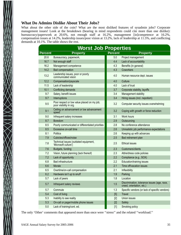#### **What Do Admins Dislike About Their Jobs?**

What about the other side of the coin? What are the most disliked features of sysadmin jobs? Corporate management issues! Look at the breakdown (bearing in mind respondents could cite more than one dislike): bureaucracy/paperwork at 20.6%, not enough staff at 16.2%, management [in]competence at 16.2%, compensation issues at 14.2%, leadership issues/poor vision at 13.2%, lack of leadership at 11.5%, and conflicting demands at 10.1%. The table shows the rest.

|                | <b>Worst Job Properties</b>                                            |                |                                                                           |  |  |  |  |  |  |  |  |
|----------------|------------------------------------------------------------------------|----------------|---------------------------------------------------------------------------|--|--|--|--|--|--|--|--|
| <b>Percent</b> | <b>Property</b>                                                        | <b>Percent</b> | <b>Property</b>                                                           |  |  |  |  |  |  |  |  |
| 20.6           | Bureaucracy, paperwork,                                                | 5.0            | Project management                                                        |  |  |  |  |  |  |  |  |
| 16.7           | Not enough staff                                                       | 4.4            | Lack of accountability                                                    |  |  |  |  |  |  |  |  |
| 16.2           | Management competence                                                  | 4.3            | Benefits (in general)                                                     |  |  |  |  |  |  |  |  |
| 14.2           | Bad compensation                                                       | 4.3            | Coworkers                                                                 |  |  |  |  |  |  |  |  |
| 13.2           | Leadership issues, poor or poorly<br>communicated vision               | 4.0            | Human resource dept. issues                                               |  |  |  |  |  |  |  |  |
| 12.2           | Compensation/payscale                                                  | 4.0            | Culture                                                                   |  |  |  |  |  |  |  |  |
| 11.5           | Lack of leadership                                                     | 4.0            | Lack of trust                                                             |  |  |  |  |  |  |  |  |
| 10.1           | Conflicting demands                                                    | 3.7            | Corporate stability, layoffs                                              |  |  |  |  |  |  |  |  |
| 9.7            | Salary, benefit issues                                                 | 3.4            | Management stability                                                      |  |  |  |  |  |  |  |  |
| 9.7            | Interruptions                                                          | 3.4            | Hiring issues (incl. nepotism)                                            |  |  |  |  |  |  |  |  |
| 9.5            | Poor respect or low value placed on my job;<br>poor visibility in org. | 3.2            | Computer security issues overwhelming                                     |  |  |  |  |  |  |  |  |
| 9.1            | Ceiling on advancement or low advancement<br>speed                     | 3.2            | Coping with growth or force reduction                                     |  |  |  |  |  |  |  |  |
| 9.0            | Infrequent salary increases                                            | 3.1            | Work hours                                                                |  |  |  |  |  |  |  |  |
| 8.7            | Boredom                                                                | 2.9            | Outsourcing                                                               |  |  |  |  |  |  |  |  |
| 8.5            | Poorly communicated or differentiated priorities                       | 2.8            | No conference attendance                                                  |  |  |  |  |  |  |  |  |
| 8.5            | Excessive on-call time                                                 | 2.6            | Unrealistic job performance expectations                                  |  |  |  |  |  |  |  |  |
| 8.1            | <b>Politics</b>                                                        | 2.6            | Keeping up with advances                                                  |  |  |  |  |  |  |  |  |
| 7.9            | Cubicles/offices/noise                                                 | 2.5            | Bad retirement plan                                                       |  |  |  |  |  |  |  |  |
| 7.8            | Technical issues (outdated equipment,<br>'Microsoft culture')          | 2.5            | <b>Ethical issues</b>                                                     |  |  |  |  |  |  |  |  |
| 7.6            | Budgets, funding                                                       | 2.3            | Customers/clients                                                         |  |  |  |  |  |  |  |  |
| 7.2            | Vision, future planning (lack thereof)                                 | 2.3            | Attire/dress code policies                                                |  |  |  |  |  |  |  |  |
| 7.2            | Lack of opportunity                                                    | 2.2            | Compliance (e.g., SOX)                                                    |  |  |  |  |  |  |  |  |
| 6.8            | <b>Bad infrastructure</b>                                              | 2.2            | Education/training issues                                                 |  |  |  |  |  |  |  |  |
| 6.6            | Morale                                                                 | 2.1            | Time off/vacation issues                                                  |  |  |  |  |  |  |  |  |
| 6.5            | Overtime/on-call compensation                                          | 2.1            | Inflexibility                                                             |  |  |  |  |  |  |  |  |
| 6.2            | Hardware isn't up to snuff                                             | 1.9            | Parking                                                                   |  |  |  |  |  |  |  |  |
| 5.7            | Lack of peers                                                          | 1.8            | Location                                                                  |  |  |  |  |  |  |  |  |
| 5.7            | Infrequent salary reviews                                              | 1.5            | Discrimination, tolerance issues (age, race,<br>creed, orientation, etc.) |  |  |  |  |  |  |  |  |
| 5.7            | Commute                                                                | 1.3            | Specific vendors (or lack of specific vendors)                            |  |  |  |  |  |  |  |  |
| 5.4            | Cost of living                                                         | [5]            | <b>Travel</b>                                                             |  |  |  |  |  |  |  |  |
| 5.3            | Inability to see reality                                               | $[2]$          | Union issues                                                              |  |  |  |  |  |  |  |  |
| 5.3            | On-call or pager/mobile phone issues                                   | $[2]$          | Safety                                                                    |  |  |  |  |  |  |  |  |
| 5.0            | Lack of training/cont. ed.                                             | $[1]$          | Smoking policy                                                            |  |  |  |  |  |  |  |  |

The only 'Other' comments that appeared more than once were ''stress'' and the related ''workload.''

 $\bigotimes_{\mathbb{X}}\big\{\bigotimes_{\mathbb{X}}% {\bf A}\big\}\big\}= \mathbb{E}[\mathbb{E}[\mathbb{E}[\mathbb{E}[\mathbb{E}[\mathbb{E}[\mathbb{E}[\mathbb{E}[\mathbb{E}[\mathbb{E}[\mathbb{E}[\mathbb{E}[\mathbb{E}[\mathbb{E}[\mathbb{E}[\mathbb{E}[\mathbb{E}[\mathbb{E}[\mathbb{E}[\mathbb{E}[\mathbb{E}[\mathbb{E}[\mathbb{E}[\mathbb{E}[\mathbb{E}[\mathbb{E}[\mathbb{E}[\mathbb{E}[\mathbb{E}[\mathbb{E}[\mathbb{$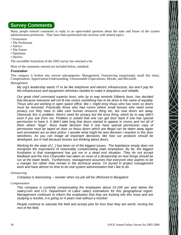# **Survey Comments**

Many people entered comments in reply to an open-ended question about the state and future of the system administration profession. They have been partitioned into sections with related topics:

- Frustration
- The Profession
- Advice
- The Future
- Optimism
- Desires

The incredible frustration of the 2003 survey has returned a bit.

Most of the comments entered are included below, unedited.

#### *Frustration*

This category is broken into several subcategories: Management, Outsourcing (surprisingly small this time), Compensation, Appreciation/Understanding, Unreasonable Expectations, Morale, and Microsoft.

#### *Management*

*My org's leadership wants IT to be like telephone and electric infrastructure, but won't pay for the infrastructure and equipment refreshes needed to make it ubiquitous and reliable.* 

*Our great chief command superior boss, who by to way reminds Dilberts boss, has decided that because everyone will not fit into rooms something has to be done in the name of equality. Thous who are working in open space office, like I, might envy thous who has room so doors must be removed. Practically those who had rooms where small bosses who need some* privacy coz they have to take care human resource thing etc, but now doors are away. *Obviously this is problem, there's need for privacy but the envy thing, which by to way didn't exist if you ask from me. Problem is solved that one can get door back if one has special per mission to have it. It didn't take long that doors started to appear in rooms and not all of them where ''legal''. Boss made decision that if one have special permission copy of per mission must be taped on door so thous doors which are illegal can be taken away again and secretaries act as door police. I wonder what might be next decision / reaction in this door weirdness. As you can image all important decisions, like how our products should be developed, are in halt because bosses are thinking about doors.*

*Working for the state of [...] has been on of the biggest issues. The legislature simply does not recognize the importance of reasonably compensating state employees. By far, the biggest frustration is that management has put me in a dead end situation. They do not accept feedback and the Vice Chancellor has taken on more of a dictatorship on how things should be* run at the lower levels. Furthermore, management assumes that everyone else aspires to be *a manger too rather than remain in the technical arena. I'm bur ied in project management work and have almost no time to do real system administration that I like to do.*

#### *Outsourcing*

*Company is downsizing -- wonder when my job will be offshored to Bangalore*

#### *Compensation*

*This company is currently compensating the employees about 10-15K per year below the* salary.com and U.S. Department of Labor salary estimations for this geographical region. *Management continues to inform the employees that they are looking into this issue and are studying a resolve, it is going on 4 years now without a resolve!*

*People continue to saturate the field and accept jobs for less than they are worth, hurting the rest of the field.*

 $\bigtimes$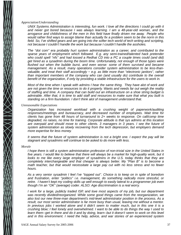#### *Appreciation/Understanding*

*UNIX Systems Administration is interesting, fun work. I love all the directions I could go with it and never got bored because I was always lear ning. I am a 48-year-old woman, and the arrogance and childishness of the men in this field have finally driven me away. People who would rather find ways to assign blame than actually fix a problem seem to be the norm in this field. So, I've shifted gears and am going into the softer tech world of tech writing and scripting, not because I couldn't handle the work but because I couldn't handle the assholes.* 

*The ''dot com'' era probably hurt system administration as a career, and contributed to the sparse years of employment which followed. E.g. any semi-trained/talented hack pretender who could spell ''nfs'' and had tossed a Redhat CD into a PC a couple times could (and did) get hired as a sysadmin during the boom time. Unfortunately, not enough of those types were flushed out when the bubble burst, and even worse: some of them survived and became management. As a result, many operations consider system administration to be less-thanvaluable, and treat their staff accordingly − e.g. as little more than ''electronic janitors'', rather than important members of the company who can (and usually do) contribute to the overall benefit of the organization, if only by providing a stable infrastructure for the users to work in.* 

*Most of the time when I speak with admins I hear the same thing. They have alot of work and are not given the time or resources to do it properly. Wants and needs far out weigh the reality* of staffing and time. A company that can build out an infrastructure on a shoe string budget is *admirable. After that, it is time to add staff and resources to make sure that what you built is standing on a firm foundation. I don't think alot of management understand that.*

#### *Unreasonable Expectations*

*Organization has increased workload with a crushing weight of paperwork/auditing responses/meetings and bureaucracy, and decreased number of employees. Wait time for clients has gone from 48 hours of turnaround to 2+ weeks to response. On call/comp time degraded, no raises, no time for training. Corporate attitude is that sys admins at this location are overpaid and should move to other clients. 3 managers in 3 years. I see the future of system administration as slowly recovering from the tech depression, but employers demand more exper tise for less money.*

*It seems that the future of system administration is not a bright one. I expect the pay will be stagnant and sysadmins will continue to be asked to do more with less.*

#### *Morale*

*I hope there is still a system administration profession of non-trivial size in the United States in five years. I would like to believe that there will always be a market for high-quality work, but it looks to me like every large employer of sysadmins in the U.S. today thinks that they are completely interchangeable and that cheaper is always better. My "Plan B" is to become a math teacher, but that would necessitate a large pay cut with no less stress and no fewer hours.*

As a very senior sysadmin I feel I've "topped out". Choice is to keep on in spite of boredom *and frustration, enter ''politics'' i.e. management, do something radically more stressful, or retire. I haven't kept my coding skills up well enough to easily lateral to a programmer job even though I'm an ''OK'' (average) coder. ALSO: Age discrimination is a real worr y.*

*I* work for a large, publicly traded ISP, and love most aspects of my job, but our department *was recently divided/reorganized. While some good things came from the reorganization, we also lost our new three-man department's mid-level administrator position in the process. As a result, our most senior administrator is far more busy than usual, leaving me without a mentor.* In previous jobs I worked alone and it didn't seem to matter much, but in this one it is a *cr ushing blow; I feel lonely and overwhelmed. I want to be able to do things the way I used to* learn them--get in there and do it and by doing, learn--but it doesn't seem to work on this level and in this environment. I need the help, advice, and war stories of an experienced system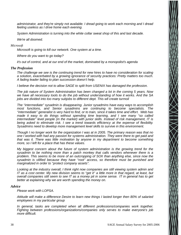*administrator, and they're simply not available. I dread going to work each morning and I dread feeling useless as I drive home each evening.*

*System Administration is turning into the white collar sweat shop of this and last decade.*

*We're all doomed.*

#### *Microsoft*

*Microsoft is going to kill our network. One system at a time.* 

*Where do you want to go today?*

*it's out of control, and at our end of the market, dominated by a monopolist's agenda*

#### *The Profession*

*The challenge we see is the continuing trend for new hires to have no consideration for scaling a solution, exacerbated by a growing ignorance of security practices: Pretty matters too much. A fading leader failing to plan succession doesn't help.*

*I believe the decision not to allow SAGE to split from USENIX has damaged the profession.*

*The job nature of System Administration has been changed a lot in the coming 5 years. Now we have all necessary tools to do the job without understanding of how it works. And the SA jobs are divided into too many subjobs to different dept. This wll create turmoil*

*The ''inter mediate'' sysadmin is disappearing. Junior sysadmins have easy ways to accomplish most functions, and Senior sysadmins are continuing to become specialists. The* "intermediate" generalist is very hard to find, or to train, since it takes time and effort. Web has *made it easy to do things without spending time learning, and I see many ''so called intermediate" level people (in the market) with junior skills. Instead of risk management, IT is being asked to eliminate risk. I see a trend towards efficiency at the expense of flexibility. Sysadmins need to develop more management level skills to survive in this environment.*

*Though I no longer work for the organization I was at in 2005. The primary reason was that no one I wor ked with had any passion for systems administration. They were there to get paid and that was it. There was little motivation by anyone in my department to become something more, so I left for a place that has these values.*

*My biggest concern about the future of system administration is the growing trend for the sysadmin to be nothing more than a patch monkey that calls vendors whenever there is a problem. This seems to be more of an outcropping of SOX than anything else, since now the sysadmin is vilified because they have ''root'' access, so therefore must be punished and marginalized in order to ''protect company assets''.*

*Looking at the industry overall, I think right now companies are still viewing system admin and IT as a cost center. My new division seems to ''get it'' a little more in that regard, at least, but overall companies still seem to see IT as a money pit in some sense. IT in general has to get* better at explaining why we are worth spending the money on.

#### *Advice*

**Please work with LOPSA.** 

*Attitude will make a difference Desire to learn new things I lasted longer then 80% of salaried employees in my par ticular group*

*In general, tasks are completed when all different professions/companies work together. Fighting between professions/organizations/companies only serves to make everyone's job more difficult.*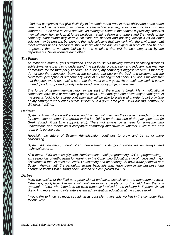*I find that companies that give flexibility to it's admin's and trust in there ability and at the same time the admin performing to company satisfaction are key, also communication is very impor tant. To be able to listen and talk. as managers listen to the admins expressing concerns they will know how to look at future products. admins listen and understand the needs of the* company. Understand why certain solutions are needed and possibly accept it as no other solution may be present, but bring to the table solutions that can work with the environment but *meet admin's needs. Managers should know what the admins expect in products and be able to present that to vendors looking for the solutions that will be best supported by the* departments. Never alienate each other.

#### *The Future*

*As more and more IT gets outsourced, I see in-house SA moving towards becoming business* subject-matter experts who understand that particular organization and industry, and manage *or facilitate for the third-party vendors. As a telco, my company's biggest problem is that they do not see the connection between the services that ride on the back-end systems and the customers' perception of our company. Most of my management chain is all about making sure that the pipes work, not making sure that the water is any good. As a result, my work is poorly funded, poorly supported, poorly understood, and poorly project-managed.*

The future of system administration in this part of the world is bleak. Many multinational companies have won or are bidding on the work. The employer, one of two major employers in *the area, is looking for a large contractor who will be able to scale well in order to not only take* on my employers work but all public service IT in a given area (e.g., UNIX hosting, network, or *Windows hosting).*

#### *Optimism*

*Systems Administration will survive, and the best will maintain their current standard of living* for some time to come. The growth in this job field is on the low end of the pay spectrum, (ie *Geek Squad, Front Line support, etc.). There will always be a need for someone who understands and maintains a company's computing infrastructure whether it lies in the next room or is outsourced.*

*Hopefully the future of System Administration continues to grow and be as or more challenging.*

*System Administration, though often under-valued, is still going strong; we will always need technical experts.* 

*Also teach UNIX courses (System Administration, shell programming, C/C++ programming) am seeing lots of enthusiasm for learning in the Continuing Education side of things and major disinterest in the Courses for Credit. Outsourcing and off-shoring will drive away potential new System Admins until the pendulum swings back this way. Have been in the business long enough to know it WILL swing back...and no one can predict WHEN...*

#### *Desires*

*More recognition of the field as a professional endeavor, especially at the management level. Otherwise, wor kplaces like mine will continue to force people out of the field. I am the only sysadmin I know who intends to be even remotely involved in the industry in 5 years. Would like to find more ways to integrate system administration education at the college level.*

*I* would like to know as much sys admin as possible. I have only worked in the computer fiels *for one year*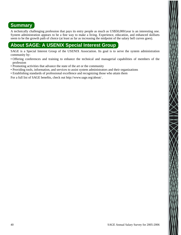# **Summary**

A technically challenging profession that pays its entry people as much as US\$50,000/year is an interesting one. System administration appears to be a fine way to make a living. Experience, education, and enhanced skillsets seem to be the growth path of choice (at least as far as increasing the midpoint of the salary bell curves goes).

# **About SAGE: A USENIX Special Interest Group**

SAGE is a Special Interest Group of the USENIX Association. Its goal is to serve the system administration community by:

- Offering conferences and training to enhance the technical and managerial capabilities of members of the profession
- Promoting activities that advance the state of the art or the community
- Providing tools, information, and services to assist system administrators and their organizations
- Establishing standards of professional excellence and recognizing those who attain them

For a full list of SAGE benefits, check out http://www.sage.org/about/ .

 $\bigtimes$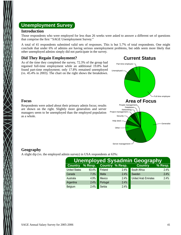# **Unemployment Survey**

#### **Introduction**

Those respondents who were employed for less than 26 weeks were asked to answer a different set of questions that comprise the first ''SAGE Unemployment Survey.''

A total of 41 respondents submitted valid sets of responses. This is but 5.7% of total respondents. One might conclude that under 6% of admins are having serious unemployment problems, but odds seem more likely that other unemployed admins simply did not participate in the survey.

#### **Did They Regain Employment?**

As of the time they completed the survey, 72.3% of the group had regained full-time employment while an additional 19.8% had found part-time employment; only 17.8% remained unemployed (vs. 45.4% in 2003). The chart on the right shows the breakdown.



#### **Focus**

Respondents were asked about their primary admin focus; results are shown on the right. Slightly more generalists and server managers seem to be unemployed than the employed population as a whole.



## **Geography**

A slight dip (vs. the employed admin survey) in USA respondents at 63%:

| <b>Unemployed Sysadmin Geography</b> |         |          |                        |                             |         |  |
|--------------------------------------|---------|----------|------------------------|-----------------------------|---------|--|
| <b>Country</b>                       | % Resp. |          | <b>Country % Resp.</b> | <b>Country</b>              | % Resp. |  |
| <b>United States</b>                 | 63.4%   | Finland  | 2.4%                   | South Africa                | 2.4%    |  |
| Canada                               | 7.3%    | Malta    | 2.4%                   | Sweden                      | 2.4%    |  |
| Australia                            | 4.9%    | Mexico   | 2.4%                   | <b>United Arab Emirates</b> | 2.4%    |  |
| Argentina                            | 2.4%    | Portugal | 2.4%                   |                             |         |  |
| Belgium                              | 2.4%    | Serbia   | 2.4%                   |                             |         |  |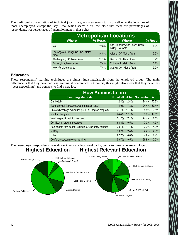The traditional concentration of technical jobs in a given area seems to map well onto the locations of those unemployed, except the Bay Area, which seems a bit low. Note that these are percentages of respondents, not percentages of unemployment in those cites.

| <b>Metropolitan Locations</b>             |         |                                                    |           |  |  |
|-------------------------------------------|---------|----------------------------------------------------|-----------|--|--|
| <b>Where</b>                              | % Resp. | <b>Where</b>                                       | $%$ Resp. |  |  |
| N/A                                       | 37.0%   | San Francisco/San Jose/Silicon<br>Valley, CA, Area | 7.4%      |  |  |
| Los Angeles/Orange Co., CA, Metro<br>Area | 14.8%   | Atlanta, GA Metro Area                             | 3.7%      |  |  |
| Washington, DC, Metro Area                | 11.1%   | Denver, CO Metro Area                              | 3.7%      |  |  |
| Boston, MA, Metro Area                    | 7.4%    | Chicago, IL Metro Area                             | 3.7%      |  |  |
| New York Metro Area                       | 7.4%    | Ottawa, ON, Metro Area                             | 3.7%      |  |  |

#### **Education**

These respondents' learning techniques are almost indistinguishable from the employed group. The main difference is that they have had less training at conferences. Of course, this might also mean that they have less "peer networking" and contacts to find a new job.

| <b>How Admins Learn</b>                                |       |         |                                 |       |  |
|--------------------------------------------------------|-------|---------|---------------------------------|-------|--|
| <b>Learning Methods</b>                                |       |         | Not at all A bit Somewhat A lot |       |  |
| On the job                                             | 2.4%  | 2.4%    | 24.4%                           | 70.7% |  |
| Taught myself (textbooks, web, practice, etc.)         | 4.9%  | 7.3%    | 24.4%                           | 63.4% |  |
| University/college education (CS/IS/IT degree program) | 31.7% | 17.1%   | 24.4%                           | 26.8% |  |
| Mentor of any kind                                     | 24.4% | 17.1%   | 39.0%                           | 19.5% |  |
| Vendor-specific training courses                       | 51.2% | 17.1%   | 24.4%                           | 7.3%  |  |
| Certification program courses                          | 68.3% | 19.5%   | 7.3%                            | 4.9%  |  |
| Non-degree tech school, college, or university courses | 70.7% | 17.1%   | 7.3%                            | 4.9%  |  |
| Military                                               | 90.2% | 2.4%    | 2.4%                            | 4.9%  |  |
| Other                                                  | 92.7% | $0.0\%$ | 4.9%                            | 2.4%  |  |
| Conferences/commercial training                        | 53.7% | 19.5%   | 26.8%                           | 0.0%  |  |

The unemployed respondents have almost identical educational backgrounds to those who are employed.

#### **Highest Education Highest Relevant Education**

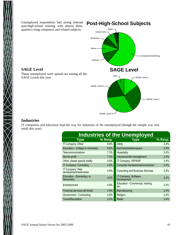Unemployed respondents had strong relevant post-high-school training with almost threequarters citing computers and related subjects.



#### **Industries**

**SAGE Level**

SAGE Levels this year.

IT companies and education lead the way for industries of the unemployed (though the sample was very small this year).

| <b>Industries of the Unemployed</b>      |         |                                           |           |  |  |  |
|------------------------------------------|---------|-------------------------------------------|-----------|--|--|--|
| <b>Type</b>                              | % Resp. | <b>Type</b>                               | $%$ Resp. |  |  |  |
| IT Company: Other                        | 9.8%    | Utility                                   | 2.4%      |  |  |  |
| <b>Education - College or University</b> | 9.8%    | Aeronautical/aerospace                    | 2.4%      |  |  |  |
| Telecommunications                       | 7.3%    | Hospitality                               | 2.4%      |  |  |  |
| Not-for-profit                           | 7.3%    | Insurance/risk management                 | 2.4%      |  |  |  |
| Other, please specify briefly            | 4.9%    | IT Company: ISP/ASP                       | 2.4%      |  |  |  |
| IT Company: Consulting                   | 4.9%    | Computer hardware/semiconductor           | 2.4%      |  |  |  |
| IT Company: Web<br>development/webmaster | 4.9%    | <b>Consulting and Business Services</b>   | 2.4%      |  |  |  |
| Education - Elementary or<br>Secondary   | 4.9%    | IT Company: Software<br>Development       | 2.4%      |  |  |  |
| Entertainment                            | 4.9%    | Education - Commercial, training,<br>etc. | 2.4%      |  |  |  |
| Financial services (all kinds)           | 4.9%    | Manufacturing                             | 2.4%      |  |  |  |
| Government - Contracting                 | 4.9%    | Religion                                  | 2.4%      |  |  |  |
| <b>Travel/Recreation</b>                 | 2.4%    | Retail                                    | 2.4%      |  |  |  |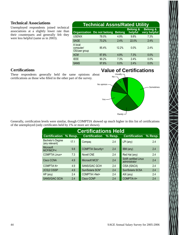#### **Technical Associations**

Unemployed respondents joined technical associations at a slightly lower rate than their counterparts and generally felt they were less helpful (same as in 2003).

| <b>Technical Assns/Rated Utility</b>  |                                   |               |                                |                                     |  |
|---------------------------------------|-----------------------------------|---------------|--------------------------------|-------------------------------------|--|
|                                       | <b>Organization Do not belong</b> | <b>Belong</b> | <b>Belong &amp;</b><br>helpful | <b>Belong &amp;</b><br>very helpful |  |
| <b>USENIX</b>                         | 78.0%                             | 4.9%          | 9.8%                           | 7.3%                                |  |
| <b>SAGE</b>                           | 73.2%                             | 2.4%          | 22.0%                          | 2.4%                                |  |
| A local<br>computer/<br>OS/user group | 85.4%                             | 12.2%         | 0.0%                           | 2.4%                                |  |
| <b>ACM</b>                            | 87.8%                             | 4.9%          | 7.3%                           | 0.0%                                |  |
| <b>IEEE</b>                           | 90.2%                             | 7.3%          | 2.4%                           | 0.0%                                |  |
| <b>SANS</b>                           | 97.6%                             | 0.0%          | 2.4%                           | 0.0%                                |  |

#### **Certifications**

These respondents generally held the same opinions about certifications as those who filled in the other part of the survey.

# **Value of Certifications**



Generally, certification levels were similar, though COMPTIA showed up much higher in this list of certifications of the unemployed (only certificates held by 1% or more are shown).

| <b>Certifications Held</b>          |         |                          |           |                                              |         |  |
|-------------------------------------|---------|--------------------------|-----------|----------------------------------------------|---------|--|
| <b>Certification</b>                | % Resp. | <b>Certification</b>     | $%$ Resp. | <b>Certification</b>                         | % Resp. |  |
| Bachelor's Degree<br>(any relevant) | 17.1    | Compag                   | 2.4       | $LPI$ (any)                                  | 2.4     |  |
| <b>Microsoft</b><br>MCP/MCP+i       | 9.8     | <b>COMPTIA Security+</b> | 2.4       | IBM (any)                                    | 2.4     |  |
| <b>COMPTIA Linux+</b>               | 7.3     | <b>Novell CNE</b>        | 2.4       | Red Hat (any)                                | 2.4     |  |
| Cisco CCNA                          | 4.9     | Microsoft MCS*           | 2.4       | <b>SAIR certified Linux</b><br>administrator | 2.4     |  |
| <b>COMPTIA N+</b>                   | 4.9     | <b>SANS/GIAC GCIH</b>    | 2.4       | CISA (ISACA)                                 | 2.4     |  |
| (ICS)2 CISSP                        | 4.9     | Sun/Solaris SCN*         | 2.4       | Sun/Solaris SCSA                             | 2.4     |  |
| $HP$ (any)                          | 2.4     | <b>COMPTIA I-Net+</b>    | 2.4       | $AIX$ (any)                                  | 2.4     |  |
| <b>SANS/GIAC GCIA</b>               | 2.4     | Cisco CCNP               | 2.4       | <b>COMPTIA A+</b>                            | 2.4     |  |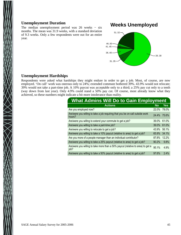#### **Unemployment Duration**

The median unemployment period was 26 weeks − six months. The mean was 31.9 weeks, with a standard deviation of 9.3 weeks. Only a few respondents were out for an entire year.

## **Weeks Unemployed**



#### **Unemployment Hardships**

Respondents were asked what hardships they might endure in order to get a job. Most, of course, are now employed. 'On call' work was onerous only to 24%; extended commute bothered 39%. 43.9% would not relocate; 39% would not take a part-time job. A 10% paycut was acceptable only to a third; a 25% pay cut only to a tenth (way down from last year). Only 4.9% could stand a 50% pay cut. Of course, most already know what they achieved, so these numbers might indicate a bit more intolerance than reality.

| What Admins Will Do to Gain Employment                                                  |           |            |  |  |  |
|-----------------------------------------------------------------------------------------|-----------|------------|--|--|--|
| <b>Actions</b>                                                                          | <b>No</b> | <b>Yes</b> |  |  |  |
| Are you employed now?                                                                   | 22.0%     | 78.0%      |  |  |  |
| Are/were you willing to take a job requiring that you be on-call outside work<br>hours? | 24.4%     | 75.6%      |  |  |  |
| Are/were you willing to extend your commute to get a job?                               | 39.0%     | 61.0%      |  |  |  |
| Are/were you willing to take a part-time job?                                           | 39.0%     | 61.0%      |  |  |  |
| Are/were you willing to relocate to get a job?                                          | 43.9%     | 56.1%      |  |  |  |
| Are/were you willing to take a 10% paycut (relative to area) to get a job?              | 65.9%     | 34.1%      |  |  |  |
| Are you more of a people manager than an individual contributor?                        | 87.8%     | 12.2%      |  |  |  |
| Are/were you willing to take a 25% paycut (relative to area) to get a job?              | 90.2%     | 9.8%       |  |  |  |
| Are/were you willing to take more than a 50% paycut (relative to area) to get a<br>job? | 95.1%     | 4.9%       |  |  |  |
| Are/were you willing to take a 50% paycut (relative to area) to get a job?              | 97.6%     | 2.4%       |  |  |  |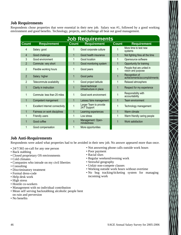#### **Job Requirements**

Respondents chose properties that were essential in their new job. Salary was #1, followed by a good working environment and good benefits. Technology, projects, and challenge all beat out good management.

| <b>Job Requirements</b> |                                        |              |                                           |              |                                                 |  |
|-------------------------|----------------------------------------|--------------|-------------------------------------------|--------------|-------------------------------------------------|--|
| <b>Count</b>            | <b>Requirement</b>                     | <b>Count</b> | <b>Requirement</b>                        | <b>Count</b> | <b>Requirement</b>                              |  |
| 4                       | Salary: good                           |              | Good corporate culture                    | 1            | More time to test new<br>systems                |  |
| 4                       | Good challenge                         | 1            | Good health insurance                     | 1            | Not fighting fires all the time                 |  |
| 3                       | Good environment                       | 1            | Good location                             | 1            | Opensource software                             |  |
| $\overline{2}$          | Commute: very short                    | 1            | Good monitoring system                    | 1            | Opportunity for training                        |  |
| $\overline{2}$          | Flexible working hours                 | 1            | Good peers                                | 1            | People that are united in<br>vision and purpose |  |
| $\overline{2}$          | Salary: higher                         | 1            | Good perks                                | 1            | Recognition of<br>achievements/accomplishments  |  |
| $\overline{2}$          | Telecommute availability               | 1            | Good project latitude                     | 1            | Relaxed atmosphere                              |  |
| 1                       | Clarity in instruction                 |              | Good technical<br>infrastructure in place | 1            | Respect for my experience                       |  |
| 1                       | Commute: less than 25 miles            | 1            | Good work environment                     | 1            | Responsibility with<br>accountability           |  |
| 1                       | Competent mangement                    | $\mathbf{1}$ | Laissez faire management                  | 1            | Team environment                                |  |
| 1                       | <b>Excellent Internet connectivity</b> |              | Larger Team to provide<br>24/7 Support    | 1            | Technology management                           |  |
| 1                       | Fairness on work disciplines           | $\mathbf{1}$ | Learning experiences                      | 1            | Warm climate                                    |  |
|                         | Friendly users                         | 1            | Low stress                                | 1            | Warm friendly caring people                     |  |
| 1                       | Good coffee                            | 1            | Management: Open-<br>mindedness           | 1            | Work satisfaction                               |  |
|                         | Good compensation                      |              | More opportunities                        |              |                                                 |  |

#### **Job Anti-Requirements**

Respondents were asked what properties had to be avoided in their new job. No answer appeared more than once.

- 24/7/365 on-call for any one person
- Back stabbing
- Closed proprietary OS environments
- Cold climates
- Companies who intrude on my civil liberties
- Consulting
- Discriminatory treatment
- Formal dress-code
- Help desk work
- High stress
- Hostile co-workers
- Management with no individual contribution
- Mean self serving backstabbing alcoholic people bent on ruin and perversion
- No benefits
- Not answering phone calls outside work hours
- Poor payment
- Racial slurs
- Regular weekend/evening work
- Stressful geography
- Unfair non-compete clauses
- Working outside work hours without overtime
- No bug tracking/ticketing system for managing incoming work

 $\bigtimes$